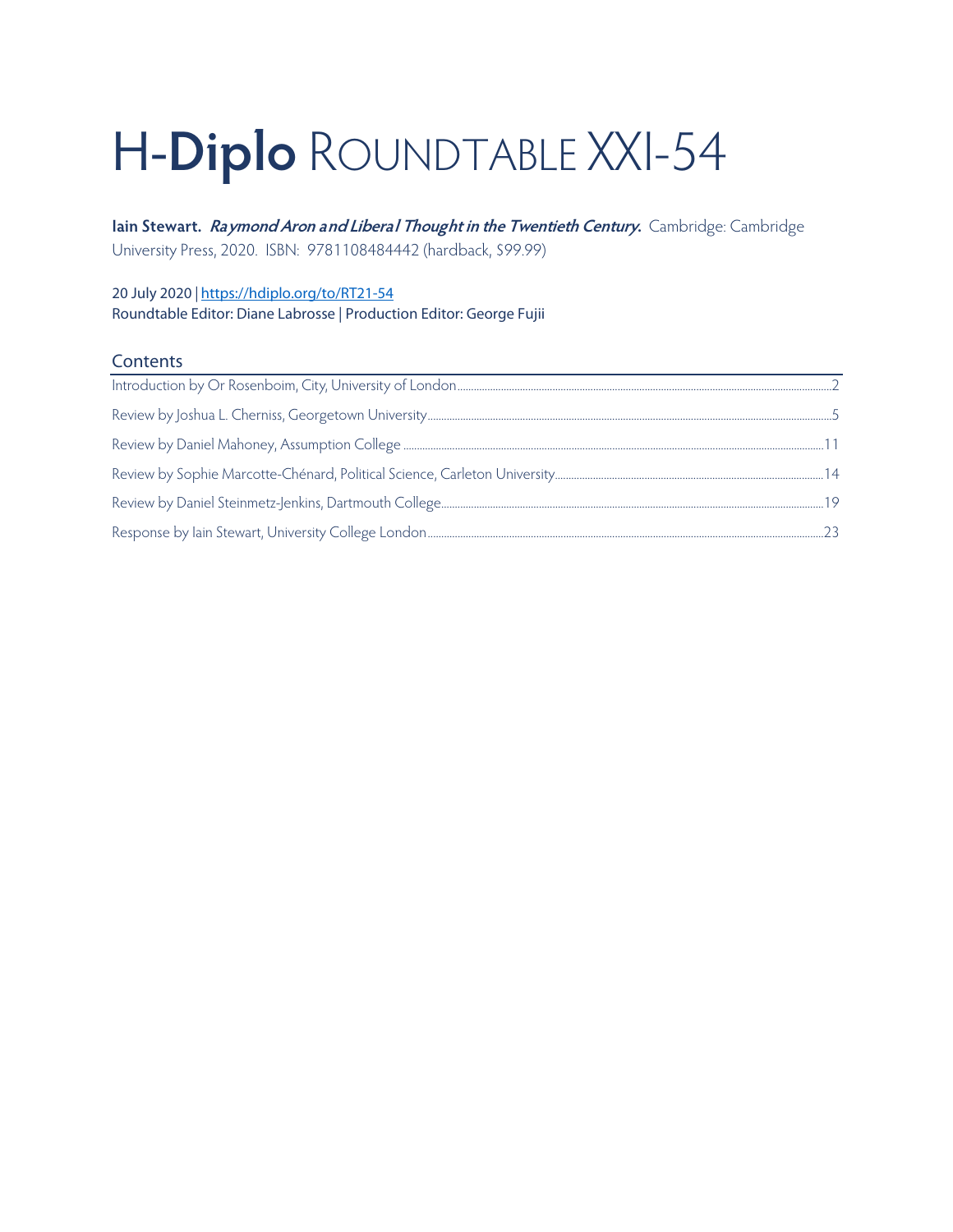# H-**Diplo** ROUNDTABLE XXI-54

**Iain Stewart. Raymond Aron and Liberal Thought in the Twentieth Century.** Cambridge: Cambridge University Press, 2020. ISBN: 9781108484442 (hardback, \$99.99)

20 July 2020 *|* <https://hdiplo.org/to/RT21-54> Roundtable Editor: Diane Labrosse | Production Editor: George Fujii

### **Contents**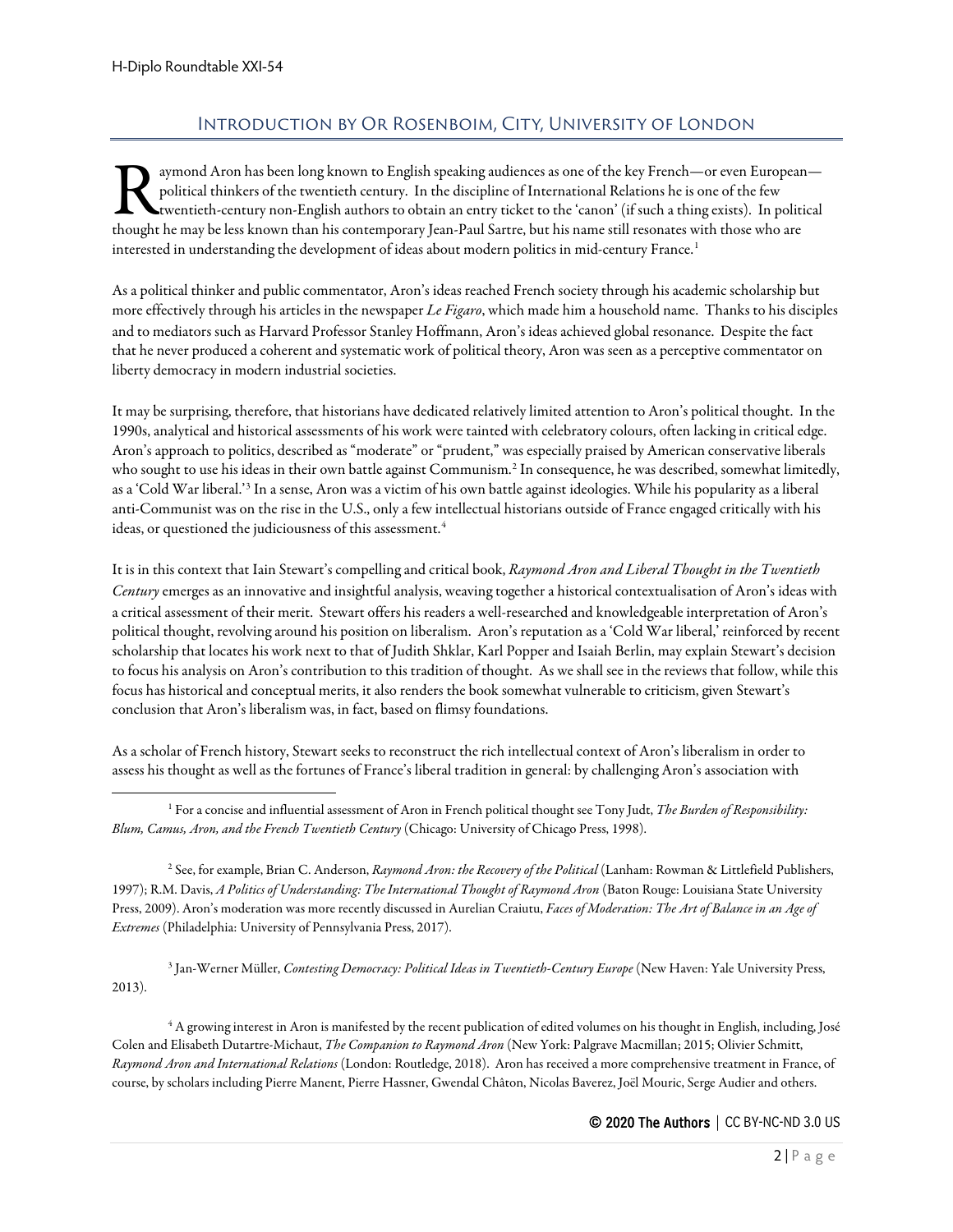# Introduction by Or Rosenboim, City, University of London

<span id="page-1-0"></span>aymond Aron has been long known to English speaking audiences as one of the key French—or even European political thinkers of the twentieth century. In the discipline of International Relations he is one of the few twentieth-century non-English authors to obtain an entry ticket to the 'canon' (if such a thing exists). In political French—or even Europear<br>political thinkers of the twentieth century. In the discipline of International Relations he is one of the few<br>twentieth-century non-English authors to obtain an entry ticket to the 'canon' (if such interested in understanding the development of ideas about modern politics in mid-century France.<sup>[1](#page-1-1)</sup>

As a political thinker and public commentator, Aron's ideas reached French society through his academic scholarship but more effectively through his articles in the newspaper *Le Figaro*, which made him a household name. Thanks to his disciples and to mediators such as Harvard Professor Stanley Hoffmann, Aron's ideas achieved global resonance. Despite the fact that he never produced a coherent and systematic work of political theory, Aron was seen as a perceptive commentator on liberty democracy in modern industrial societies.

It may be surprising, therefore, that historians have dedicated relatively limited attention to Aron's political thought. In the 1990s, analytical and historical assessments of his work were tainted with celebratory colours, often lacking in critical edge. Aron's approach to politics, described as "moderate" or "prudent," was especially praised by American conservative liberals who sought to use his ideas in their own battle against Communism.<sup>[2](#page-1-2)</sup> In consequence, he was described, somewhat limitedly, as a 'Cold War liberal.'[3](#page-1-3) In a sense, Aron was a victim of his own battle against ideologies. While his popularity as a liberal anti-Communist was on the rise in the U.S., only a few intellectual historians outside of France engaged critically with his ideas, or questioned the judiciousness of this assessment.<sup>[4](#page-1-4)</sup>

It is in this context that Iain Stewart's compelling and critical book, *Raymond Aron and Liberal Thought in the Twentieth Century* emerges as an innovative and insightful analysis, weaving together a historical contextualisation of Aron's ideas with a critical assessment of their merit. Stewart offers his readers a well-researched and knowledgeable interpretation of Aron's political thought, revolving around his position on liberalism. Aron's reputation as a 'Cold War liberal,' reinforced by recent scholarship that locates his work next to that of Judith Shklar, Karl Popper and Isaiah Berlin, may explain Stewart's decision to focus his analysis on Aron's contribution to this tradition of thought. As we shall see in the reviews that follow, while this focus has historical and conceptual merits, it also renders the book somewhat vulnerable to criticism, given Stewart's conclusion that Aron's liberalism was, in fact, based on flimsy foundations.

As a scholar of French history, Stewart seeks to reconstruct the rich intellectual context of Aron's liberalism in order to assess his thought as well as the fortunes of France's liberal tradition in general: by challenging Aron's association with

<span id="page-1-2"></span><sup>2</sup> See, for example, Brian C. Anderson, *Raymond Aron: the Recovery of the Political* (Lanham: Rowman & Littlefield Publishers, 1997); R.M. Davis, *A Politics of Understanding: The International Thought of Raymond Aron* (Baton Rouge: Louisiana State University Press, 2009). Aron's moderation was more recently discussed in Aurelian Craiutu, *Faces of Moderation: The Art of Balance in an Age of Extremes* (Philadelphia: University of Pennsylvania Press, 2017).

<span id="page-1-3"></span><sup>3</sup> Jan-Werner Müller, *Contesting Democracy: Political Ideas in Twentieth-Century Europe* (New Haven: Yale University Press, 2013).

<span id="page-1-4"></span><sup>4</sup> A growing interest in Aron is manifested by the recent publication of edited volumes on his thought in English, including, José Colen and Elisabeth Dutartre-Michaut, *The Companion to Raymond Aron* (New York: Palgrave Macmillan; 2015; Olivier Schmitt, *Raymond Aron and International Relations* (London: Routledge, 2018). Aron has received a more comprehensive treatment in France, of course, by scholars including Pierre Manent, Pierre Hassner, Gwendal Châton, Nicolas Baverez, Joël Mouric, Serge Audier and others.

<span id="page-1-1"></span><sup>1</sup> For a concise and influential assessment of Aron in French political thought see Tony Judt, *The Burden of Responsibility: Blum, Camus, Aron, and the French Twentieth Century* (Chicago: University of Chicago Press, 1998).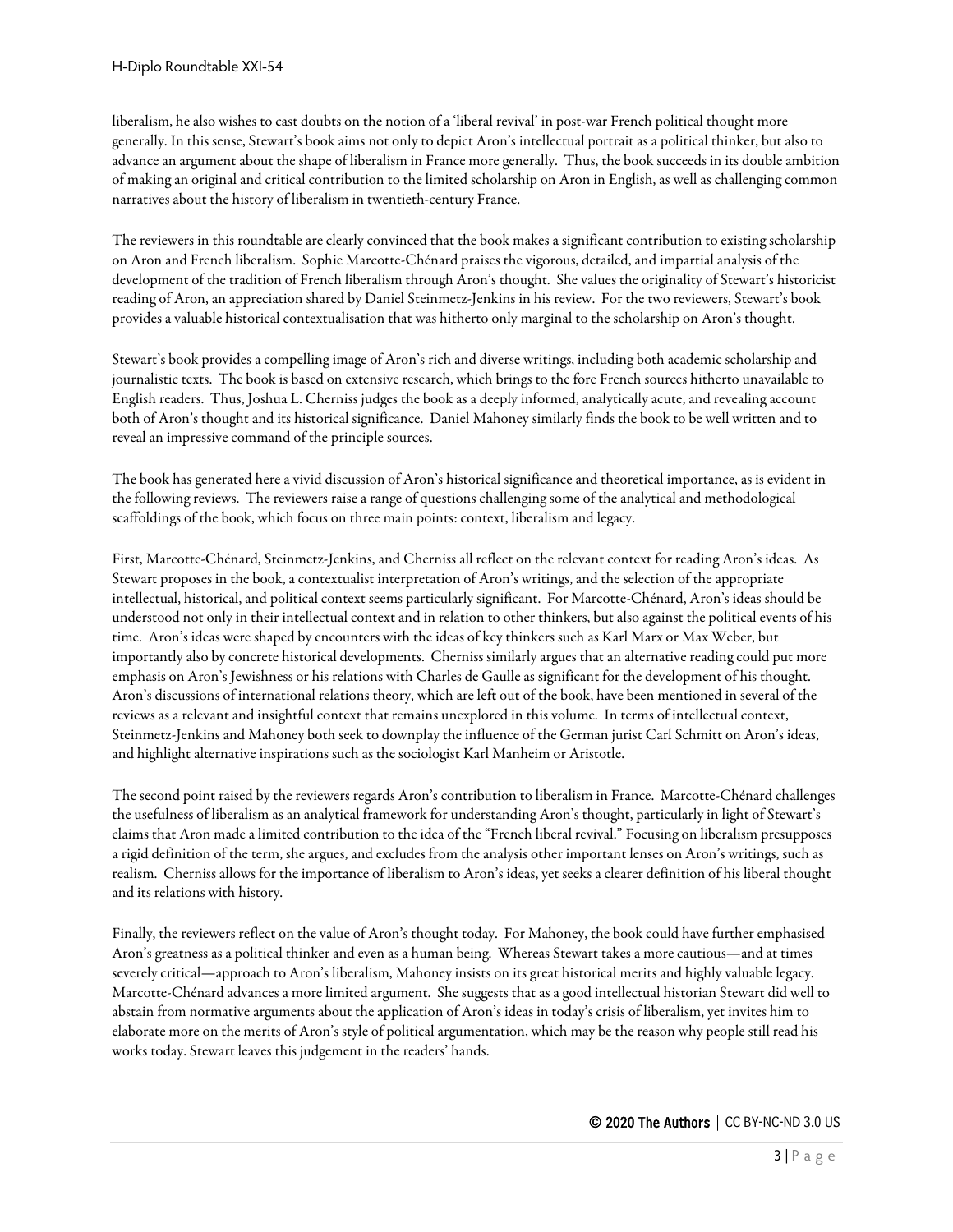liberalism, he also wishes to cast doubts on the notion of a 'liberal revival' in post-war French political thought more generally. In this sense, Stewart's book aims not only to depict Aron's intellectual portrait as a political thinker, but also to advance an argument about the shape of liberalism in France more generally. Thus, the book succeeds in its double ambition of making an original and critical contribution to the limited scholarship on Aron in English, as well as challenging common narratives about the history of liberalism in twentieth-century France.

The reviewers in this roundtable are clearly convinced that the book makes a significant contribution to existing scholarship on Aron and French liberalism. Sophie Marcotte-Chénard praises the vigorous, detailed, and impartial analysis of the development of the tradition of French liberalism through Aron's thought. She values the originality of Stewart's historicist reading of Aron, an appreciation shared by Daniel Steinmetz-Jenkins in his review. For the two reviewers, Stewart's book provides a valuable historical contextualisation that was hitherto only marginal to the scholarship on Aron's thought.

Stewart's book provides a compelling image of Aron's rich and diverse writings, including both academic scholarship and journalistic texts. The book is based on extensive research, which brings to the fore French sources hitherto unavailable to English readers. Thus, Joshua L. Cherniss judges the book as a deeply informed, analytically acute, and revealing account both of Aron's thought and its historical significance. Daniel Mahoney similarly finds the book to be well written and to reveal an impressive command of the principle sources.

The book has generated here a vivid discussion of Aron's historical significance and theoretical importance, as is evident in the following reviews. The reviewers raise a range of questions challenging some of the analytical and methodological scaffoldings of the book, which focus on three main points: context, liberalism and legacy.

First, Marcotte-Chénard, Steinmetz-Jenkins, and Cherniss all reflect on the relevant context for reading Aron's ideas. As Stewart proposes in the book, a contextualist interpretation of Aron's writings, and the selection of the appropriate intellectual, historical, and political context seems particularly significant. For Marcotte-Chénard, Aron's ideas should be understood not only in their intellectual context and in relation to other thinkers, but also against the political events of his time. Aron's ideas were shaped by encounters with the ideas of key thinkers such as Karl Marx or Max Weber, but importantly also by concrete historical developments. Cherniss similarly argues that an alternative reading could put more emphasis on Aron's Jewishness or his relations with Charles de Gaulle as significant for the development of his thought. Aron's discussions of international relations theory, which are left out of the book, have been mentioned in several of the reviews as a relevant and insightful context that remains unexplored in this volume. In terms of intellectual context, Steinmetz-Jenkins and Mahoney both seek to downplay the influence of the German jurist Carl Schmitt on Aron's ideas, and highlight alternative inspirations such as the sociologist Karl Manheim or Aristotle.

The second point raised by the reviewers regards Aron's contribution to liberalism in France. Marcotte-Chénard challenges the usefulness of liberalism as an analytical framework for understanding Aron's thought, particularly in light of Stewart's claims that Aron made alimited contribution to the idea of the "French liberal revival." Focusing on liberalism presupposes a rigid definition of the term, she argues, and excludes from the analysis other important lenses on Aron's writings, such as realism. Cherniss allows for the importance of liberalism to Aron's ideas, yet seeks a clearer definition of his liberal thought and its relations with history.

Finally, the reviewers reflect on the value of Aron's thought today. For Mahoney, the book could have further emphasised Aron's greatness as a political thinker and even as a human being. Whereas Stewart takes a more cautious—and at times severely critical—approach to Aron's liberalism, Mahoney insists on its great historical merits and highly valuable legacy. Marcotte-Chénard advances a more limited argument. She suggests that as a good intellectual historian Stewart did well to abstain from normative arguments about the application of Aron's ideas in today's crisis of liberalism, yet invites him to elaborate more on the merits of Aron's style of political argumentation, which may be the reason why people still read his works today. Stewart leaves this judgement in the readers' hands.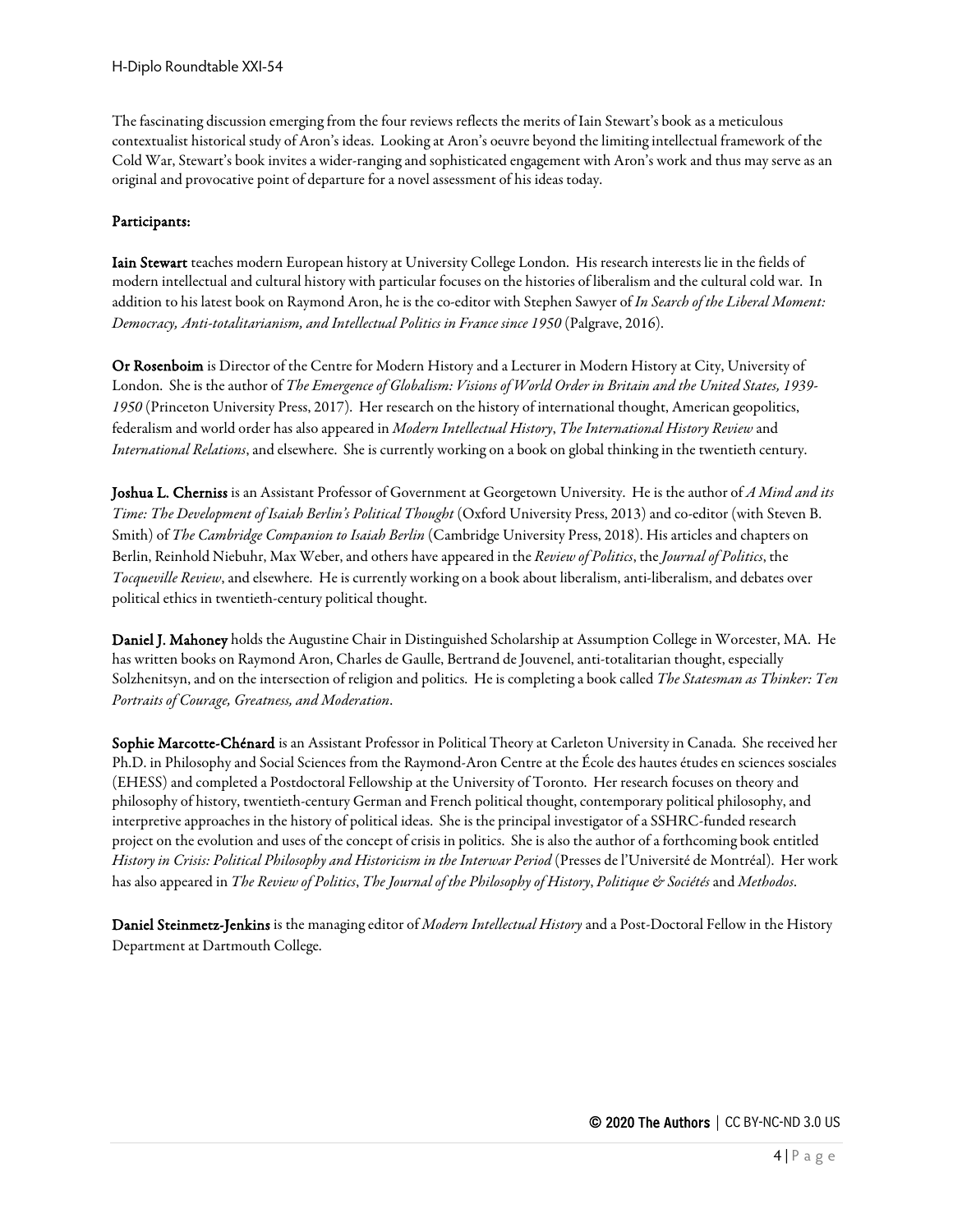The fascinating discussion emerging from the four reviews reflects the merits of Iain Stewart's book as a meticulous contextualist historical study of Aron's ideas. Looking at Aron's oeuvre beyond the limiting intellectual framework of the Cold War, Stewart's book invites a wider-ranging and sophisticated engagement with Aron's work and thus may serve as an original and provocative point of departure for a novel assessment of his ideas today.

#### Participants:

Iain Stewart teaches modern European history at University College London. His research interests lie in the fields of modern intellectual and cultural history with particular focuses on the histories of liberalism and the cultural cold war. In addition to his latest book on Raymond Aron, he is the co-editor with Stephen Sawyer of *In Search of the Liberal Moment: Democracy, Anti-totalitarianism, and Intellectual Politics in France since 1950* (Palgrave, 2016).

Or Rosenboim is Director of the Centre for Modern History and a Lecturer in Modern History at City, University of London. She is the author of *The Emergence of Globalism: Visions of World Order in Britain and the United States, 1939- 1950* (Princeton University Press, 2017). Her research on the history of international thought, American geopolitics, federalism and world order has also appeared in *Modern Intellectual History*, *The International History Review* and *International Relations*, and elsewhere. She is currently working on a book on global thinking in the twentieth century.

Joshua L. Cherniss is an Assistant Professor of Government at Georgetown University. He is the author of *A Mind and its Time: The Development of Isaiah Berlin's Political Thought* (Oxford University Press, 2013) and co-editor (with Steven B. Smith) of *The Cambridge Companion to Isaiah Berlin* (Cambridge University Press, 2018). His articles and chapters on Berlin, Reinhold Niebuhr, Max Weber, and others have appeared in the *Review of Politics*, the *Journal of Politics*, the *Tocqueville Review*, and elsewhere. He is currently working on a book about liberalism, anti-liberalism, and debates over political ethics in twentieth-century political thought.

Daniel J. Mahoney holds the Augustine Chair in Distinguished Scholarship at Assumption College in Worcester, MA. He has written books on Raymond Aron, Charles de Gaulle, Bertrand de Jouvenel, anti-totalitarian thought, especially Solzhenitsyn, and on the intersection of religion and politics. He is completing a book called *The Statesman as Thinker: Ten Portraits of Courage, Greatness, and Moderation*.

Sophie Marcotte-Chénard is an Assistant Professor in Political Theory at Carleton University in Canada. She received her Ph.D. in Philosophy and Social Sciences from the Raymond-Aron Centre at the École des hautes études en sciences sosciales (EHESS) and completed a Postdoctoral Fellowship at the University of Toronto. Her research focuses on theory and philosophy of history, twentieth-century German and French political thought, contemporary political philosophy, and interpretive approaches in the history of political ideas. Sheis the principal investigator of a SSHRC-funded research project on the evolution and uses of the concept of crisis in politics. She is also the author of a forthcoming book entitled *History in Crisis: Political Philosophy and Historicism in the Interwar Period* (Presses de l'Université de Montréal). Her work has also appeared in *The Review of Politics*, *The Journal of the Philosophy of History*, *Politique & Sociétés* and *Methodos*.

Daniel Steinmetz-Jenkins is the managing editor of *Modern Intellectual History*and a Post-Doctoral Fellow in the History Department at Dartmouth College.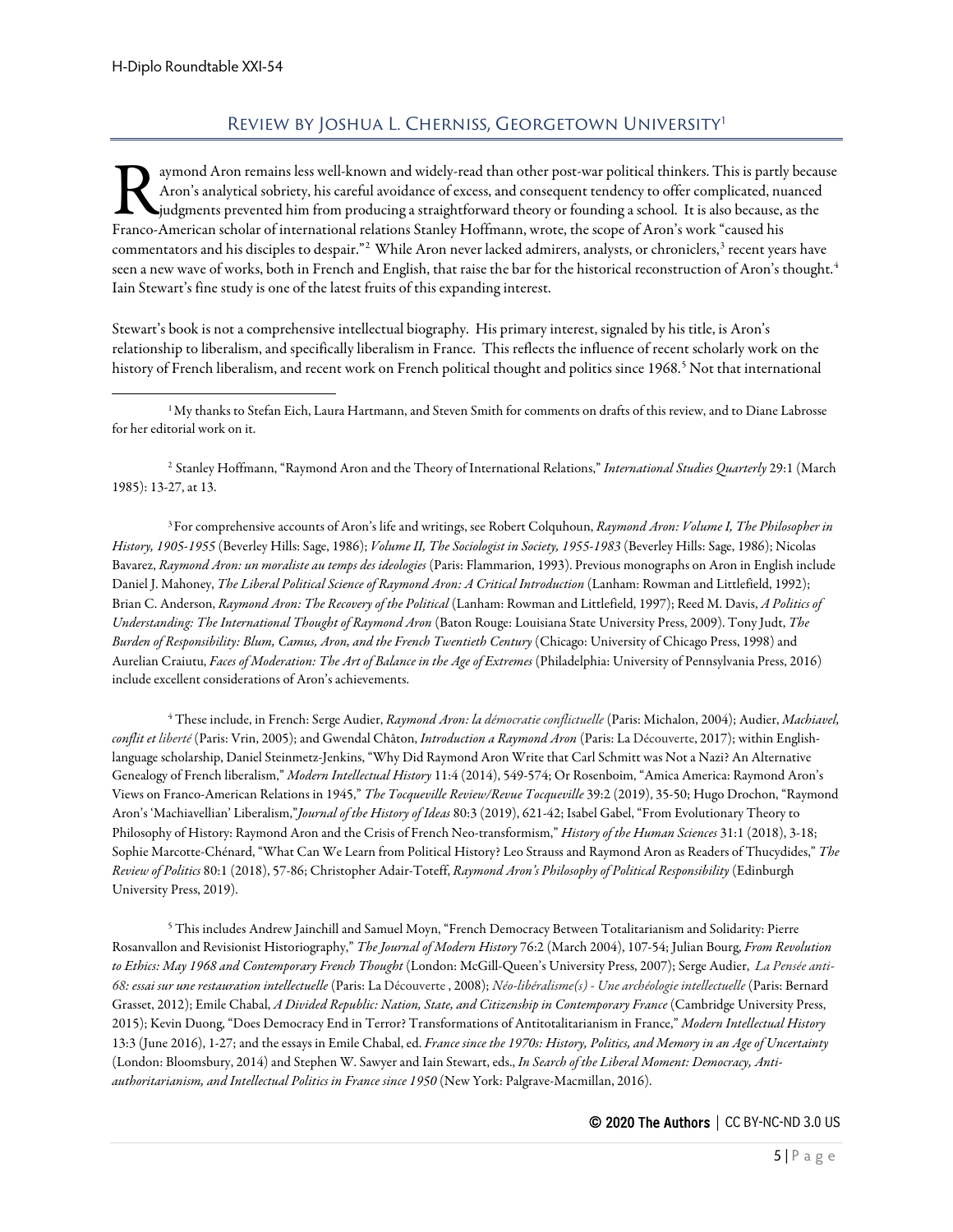# REVIEW BY JOSHUA L. CHERNISS, GEORGETOWN UNIVERSITY<sup>[1](#page-4-1)</sup>

<span id="page-4-0"></span>aymond Aron remains less well-known and widely-read than other post-war political thinkers. This is partly because Aron's analytical sobriety, his careful avoidance of excess, and consequent tendency to offer complicated, nuanced judgments prevented him from producing a straightforward theory or founding a school. It is also because, as the Franco-American scholar of international relations Stanley Hoffmann, wrote, the scope of Aron's work "caused his partly dyadgments prevented him from producing a straightforward theory or founding a school. It is also beca commentators and his disciples to despair."<sup>[2](#page-4-2)</sup> While Aron never lacked admirers, analysts, or chroniclers,<sup>[3](#page-4-3)</sup> recent years have seen a new wave of works, both in French and English, that raise the bar for the historical reconstruction of Aron's thought.<sup>[4](#page-4-4)</sup> Iain Stewart's fine study is one of the latest fruits of this expanding interest.

Stewart's book is not a comprehensive intellectual biography. His primary interest, signaled by his title, is Aron's relationship to liberalism, and specifically liberalism in France. This reflects the influence of recent scholarly work on the history of French liberalism, and recent work on French political thought and politics since 1968.<sup>[5](#page-4-5)</sup> Not that international

<span id="page-4-2"></span>2 Stanley Hoffmann, "Raymond Aron and the Theory of International Relations," *International Studies Quarterly* 29:1 (March 1985): 13-27, at 13.

<span id="page-4-3"></span>3For comprehensive accounts of Aron's life and writings, see Robert Colquhoun, *Raymond Aron: Volume I, The Philosopher in History, 1905-1955* (Beverley Hills: Sage, 1986); *Volume II, The Sociologist in Society, 1955-1983* (Beverley Hills: Sage, 1986); Nicolas Bavarez, *Raymond Aron: un moraliste au temps des ideologies* (Paris: Flammarion, 1993). Previous monographs on Aron in English include Daniel J. Mahoney, *The Liberal Political Science of Raymond Aron: A Critical Introduction* (Lanham: Rowman and Littlefield, 1992); Brian C. Anderson, *Raymond Aron: The Recovery of the Political* (Lanham: Rowman and Littlefield, 1997); Reed M. Davis, *A Politics of Understanding: The International Thought of Raymond Aron* (Baton Rouge: Louisiana State University Press, 2009). Tony Judt, *The Burden of Responsibility: Blum, Camus, Aron, and the French Twentieth Century* (Chicago: University of Chicago Press, 1998) and Aurelian Craiutu, *Faces of Moderation: The Art of Balance in the Age of Extremes* (Philadelphia: University of Pennsylvania Press, 2016) include excellent considerations of Aron's achievements.

<span id="page-4-4"></span><sup>4</sup> These include, in French: Serge Audier, *Raymond Aron: la démocratie conflictuelle* (Paris: Michalon, 2004); Audier, *Machiavel, conflit et liberté* (Paris: Vrin, 2005); and Gwendal Châton, *Introduction a Raymond Aron* (Paris: La Découverte, 2017); within Englishlanguage scholarship, Daniel Steinmetz-Jenkins, "Why Did Raymond Aron Write that Carl Schmitt was Not a Nazi? An Alternative Genealogy of French liberalism," *Modern Intellectual History* 11:4 (2014), 549-574; Or Rosenboim, "Amica America: Raymond Aron's Views on Franco-American Relations in 1945," *The Tocqueville Review/Revue Tocqueville* 39:2 (2019), 35-50; Hugo Drochon, "Raymond Aron's 'Machiavellian' Liberalism,"*Journal of the History of Ideas* 80:3 (2019), 621-42; Isabel Gabel, "From Evolutionary Theory to Philosophy of History: Raymond Aron and the Crisis of French Neo-transformism," *History of the Human Sciences* 31:1 (2018), 3-18; Sophie Marcotte-Chénard, "What Can We Learn from Political History? Leo Strauss and Raymond Aron as Readers of Thucydides," *The Review of Politics* 80:1 (2018), 57-86; Christopher Adair-Toteff, *Raymond Aron's Philosophy of Political Responsibility* (Edinburgh University Press, 2019).

<span id="page-4-5"></span><sup>5</sup> This includes Andrew Jainchill and Samuel Moyn, "French Democracy Between Totalitarianism and Solidarity: Pierre Rosanvallon and Revisionist Historiography," *The Journal of Modern History* 76:2 (March 2004), 107-54; Julian Bourg, *From Revolution to Ethics: May 1968 and Contemporary French Thought* (London: McGill-Queen's University Press, 2007); Serge Audier, *La Pensée anti-68: essai sur une restauration intellectuelle* (Paris: La Découverte , 2008); *Néo-libéralisme(s) - Une archéologie intellectuelle* (Paris: Bernard Grasset, 2012); Emile Chabal, *A Divided Republic: Nation, State, and Citizenship in Contemporary France* (Cambridge University Press, 2015); Kevin Duong, "Does Democracy End in Terror? Transformations of Antitotalitarianism in France," *Modern Intellectual History*  13:3 (June 2016), 1-27; and the essays in Emile Chabal,ed. *France since the 1970s: History, Politics, and Memory in an Age of Uncertainty* (London: Bloomsbury, 2014) and Stephen W. Sawyer and Iain Stewart, eds., *In Search of the Liberal Moment: Democracy, Antiauthoritarianism, and Intellectual Politics in France since 1950* (New York: Palgrave-Macmillan, 2016).

<span id="page-4-1"></span> $^1$ My thanks to Stefan Eich, Laura Hartmann, and Steven Smith for comments on drafts of this review, and to Diane Labrosse for her editorial work on it.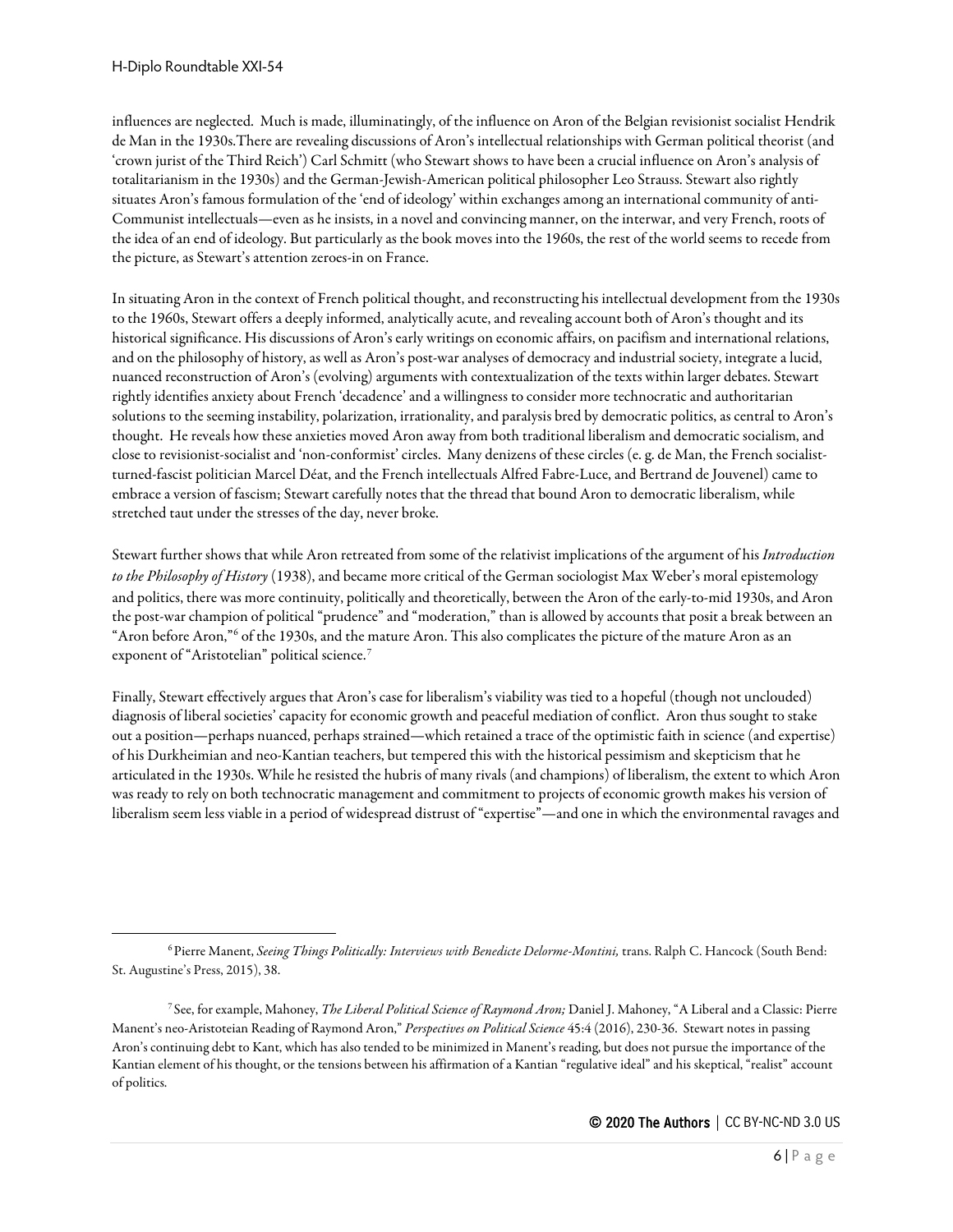influences are neglected. Much is made, illuminatingly, of the influence on Aron of the Belgian revisionist socialist Hendrik de Man in the 1930s.There are revealing discussions of Aron's intellectual relationships with German political theorist (and 'crown jurist of the Third Reich') Carl Schmitt (who Stewart shows to have been a crucial influence on Aron's analysis of totalitarianism in the 1930s) and the German-Jewish-American political philosopher Leo Strauss. Stewart also rightly situates Aron's famous formulation of the 'end of ideology' within exchanges among an international community of anti-Communist intellectuals—even as he insists, in a novel and convincing manner, on the interwar, and very French, roots of the idea of an end of ideology. But particularly as the book moves into the 1960s, the rest of the world seems to recede from the picture, as Stewart's attention zeroes-in on France.

In situating Aron in thecontext of French political thought, and reconstructing his intellectual development from the 1930s to the 1960s, Stewart offers a deeply informed, analytically acute, and revealing account both of Aron's thought and its historical significance. His discussions of Aron's early writings on economic affairs, on pacifism and international relations, and on the philosophy of history, as well as Aron's post-war analyses of democracy and industrial society, integrate a lucid, nuanced reconstruction of Aron's (evolving) arguments with contextualization of the texts within larger debates. Stewart rightly identifies anxiety about French 'decadence'and a willingness to consider more technocratic and authoritarian solutions to the seeming instability, polarization, irrationality, and paralysis bred by democratic politics, as central to Aron's thought. He reveals how these anxieties moved Aron away from both traditional liberalism and democratic socialism, and close to revisionist-socialist and 'non-conformist' circles. Many denizens of these circles (e. g. de Man, the French socialistturned-fascist politician Marcel Déat, and the French intellectuals Alfred Fabre-Luce, and Bertrand de Jouvenel) came to embrace a version of fascism; Stewart carefully notes that the thread that bound Aron to democratic liberalism, while stretched taut under the stresses of the day, never broke.

Stewart further shows that while Aron retreated from some of the relativist implications of the argument of his *Introduction to the Philosophy of History* (1938), and became more critical of the German sociologist Max Weber's moral epistemology and politics, there was more continuity, politically and theoretically, between the Aron of the early-to-mid 1930s, and Aron the post-war champion of political "prudence" and "moderation," than is allowed by accounts that posit a break between an "Aron before Aron,"[6](#page-5-0) of the 1930s, and the mature Aron. This also complicates the picture of the mature Aron as an exponent of "Aristotelian" political science.<sup>[7](#page-5-1)</sup>

Finally, Stewart effectively argues that Aron's case for liberalism's viability was tied to a hopeful (though not unclouded) diagnosis of liberal societies' capacity for economic growth and peaceful mediation of conflict. Aron thus sought to stake out a position—perhaps nuanced, perhaps strained—which retained a trace of the optimistic faith in science (and expertise) of his Durkheimian and neo-Kantian teachers, but tempered this with the historical pessimism and skepticism that he articulated in the 1930s. While he resisted the hubris of many rivals (and champions) of liberalism, the extent to which Aron was ready to rely on both technocratic management and commitment to projects of economic growth makes his version of liberalism seem less viable in a period of widespread distrust of "expertise"—and one in which the environmental ravages and

<span id="page-5-0"></span><sup>&</sup>lt;sup>6</sup> Pierre Manent, *Seeing Things Politically: Interviews with Benedicte Delorme-Montini*, trans. Ralph C. Hancock (South Bend: St. Augustine's Press, 2015), 38.

<span id="page-5-1"></span><sup>7</sup> See, for example, Mahoney, *The Liberal Political Science of Raymond Aron;* Daniel J. Mahoney, "A Liberal and a Classic: Pierre Manent's neo-Aristoteian Reading of Raymond Aron," *Perspectives on Political Science* 45:4 (2016), 230-36. Stewart notes in passing Aron's continuing debt to Kant, which has also tended to be minimized in Manent's reading, but does not pursue the importance of the Kantian element of his thought, or the tensions between his affirmation of a Kantian "regulative ideal" and his skeptical, "realist" account of politics.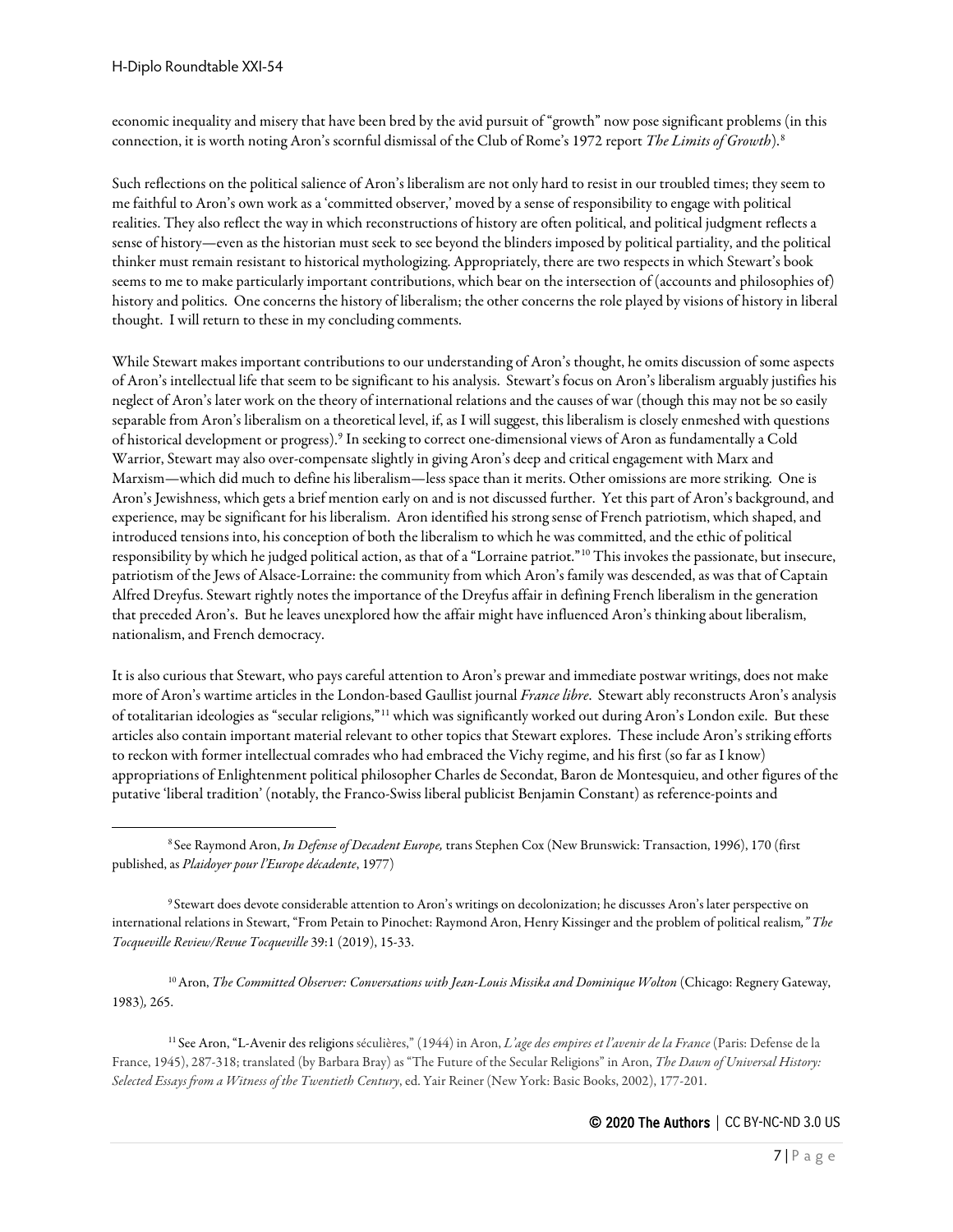economic inequality and misery that have been bred by the avid pursuit of "growth" now pose significant problems (in this connection, it is worth noting Aron's scornful dismissal of the Club of Rome's 1972 report *The Limits of Growth*).[8](#page-6-0)

Such reflections on the political salience of Aron's liberalism are not only hard to resist in our troubled times; they seem to me faithful to Aron's own work as a 'committed observer,' moved by a sense of responsibility to engage with political realities. They also reflect the way in which reconstructions of history are often political, and political judgment reflectsa sense of history—even as the historian must seek to see beyond the blinders imposed by political partiality, and the political thinker must remain resistant to historical mythologizing. Appropriately, there are two respects in which Stewart's book seems to me to make particularly important contributions, which bear on the intersection of (accounts and philosophies of) history and politics. One concerns the history of liberalism; the other concerns the role played by visions of history in liberal thought. I will return to these in my concluding comments.

While Stewart makes important contributions to our understanding of Aron's thought, he omits discussion of some aspects of Aron's intellectual life that seem to be significant to his analysis. Stewart's focus on Aron's liberalism arguably justifies his neglect of Aron's later work on the theory of international relations and the causes of war (though this may not be so easily separable from Aron's liberalism on a theoretical level, if, as I will suggest, this liberalism is closely enmeshed with questions of historical development or progress).[9](#page-6-1) In seeking to correct one-dimensional views of Aron as fundamentally a Cold Warrior, Stewart may also over-compensate slightly in giving Aron's deep and critical engagement with Marx and Marxism—which did much to define his liberalism—less space than it merits. Other omissions are more striking. One is Aron's Jewishness, which gets a brief mention early on and is not discussed further. Yet this part of Aron's background, and experience, may be significant for his liberalism. Aron identified his strong sense of French patriotism, which shaped, and introduced tensions into, his conception of both the liberalism to which he was committed, and the ethic of political responsibility by which he judged political action, as that of a "Lorraine patriot."[10](#page-6-2) This invokes the passionate, but insecure, patriotism of the Jews of Alsace-Lorraine: the community from which Aron's family was descended, as was that of Captain Alfred Dreyfus. Stewart rightly notes the importance of the Dreyfus affair in defining French liberalism in the generation that preceded Aron's. But he leaves unexplored how the affair might have influenced Aron's thinking about liberalism, nationalism, and French democracy.

It is also curious that Stewart, who pays careful attention to Aron's prewar and immediate postwar writings, does not make more of Aron's wartime articles in the London-based Gaullist journal *France libre*. Stewart ably reconstructs Aron's analysis of totalitarian ideologies as "secular religions,"[11](#page-6-3) which was significantly worked out during Aron's London exile. But these articles also contain important material relevant to other topics that Stewart explores. These include Aron's striking efforts to reckon with former intellectual comrades who had embraced the Vichy regime, and his first (so far as I know) appropriations of Enlightenment political philosopher Charles de Secondat, Baron de Montesquieu, and other figures of the putative 'liberal tradition' (notably, the Franco-Swiss liberal publicist Benjamin Constant) as reference-points and

<span id="page-6-2"></span><sup>10</sup> Aron, *The Committed Observer: Conversations with Jean-Louis Missika and Dominique Wolton (Chicago: Regnery Gateway,* 1983)*,* 265.

<span id="page-6-3"></span><sup>11</sup> See Aron, "L-Avenir des religions séculières," (1944) in Aron, *L'age des empires et l'avenir de la France* (Paris: Defense de la France, 1945), 287-318; translated (by Barbara Bray) as "The Future of the Secular Religions" in Aron, *The Dawn of Universal History: Selected Essays from a Witness of the Twentieth Century*, ed. Yair Reiner (New York: Basic Books, 2002), 177-201.

<span id="page-6-0"></span><sup>8</sup> See Raymond Aron, *In Defense of Decadent Europe,* trans Stephen Cox (New Brunswick: Transaction, 1996), 170 (first published, as *Plaidoyer pour l'Europe décadente*, 1977)

<span id="page-6-1"></span><sup>9</sup> Stewart does devote considerable attention to Aron's writings on decolonization; he discusses Aron's later perspective on international relations in Stewart, "From Petain to Pinochet: Raymond Aron, Henry Kissinger and the problem of political realism*," The Tocqueville Review/Revue Tocqueville* 39:1 (2019), 15-33.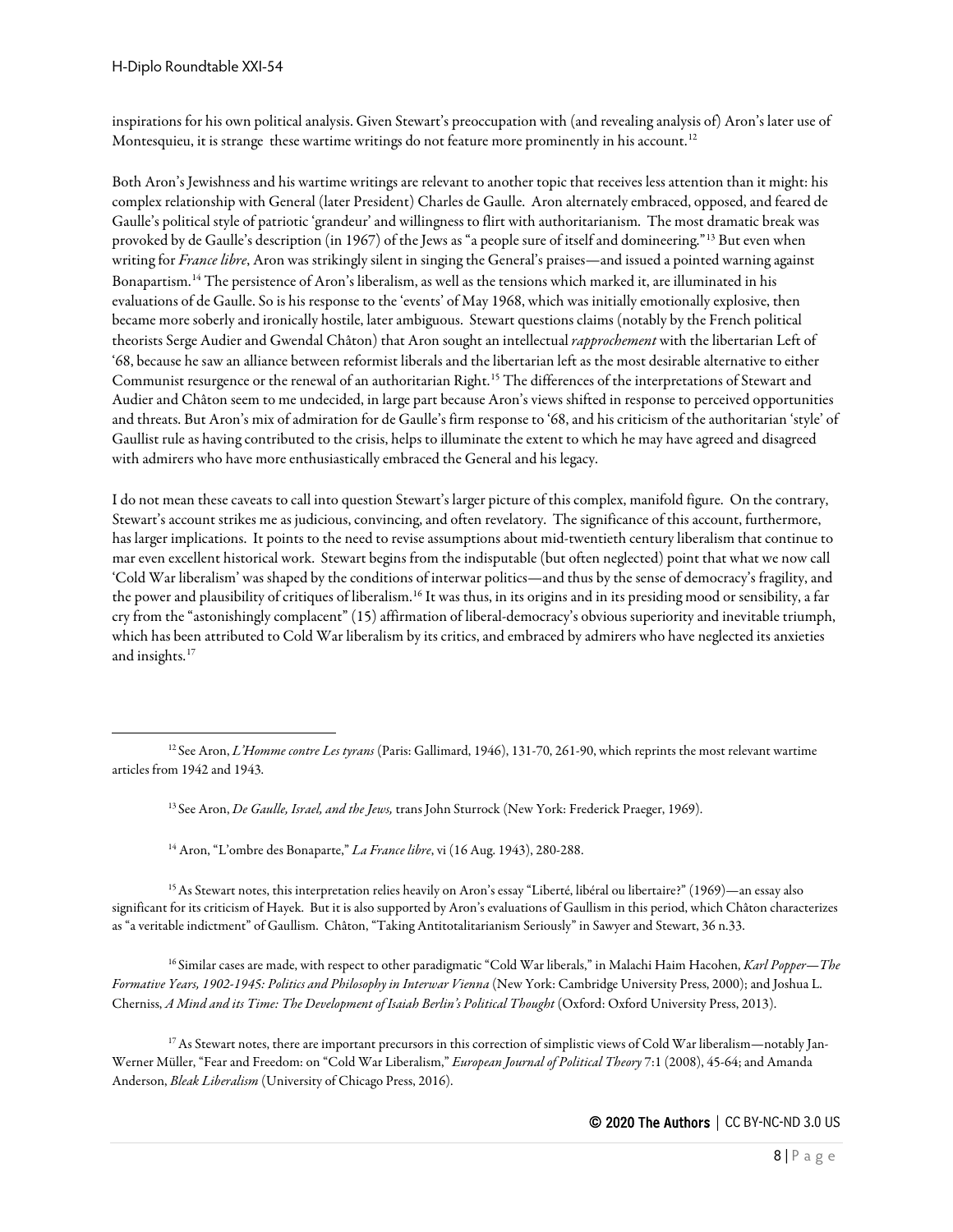inspirations for his own political analysis. Given Stewart's preoccupation with (and revealing analysis of) Aron's later use of Montesquieu, it is strange these wartime writings do not feature more prominently in his account.<sup>[12](#page-7-0)</sup>

Both Aron's Jewishness and his wartime writings are relevant to another topic that receives less attention than it might: his complex relationship with General (later President) Charles de Gaulle. Aron alternately embraced, opposed, and feared de Gaulle's political style of patriotic 'grandeur'and willingness to flirt with authoritarianism. The most dramatic break was provoked by de Gaulle's description (in 1967) of the Jews as "a people sure of itself and domineering."[13](#page-7-1) But even when writing for *France libre*, Aron was strikingly silent in singing the General's praises—and issued a pointed warning against Bonapartism.[14](#page-7-2) The persistence of Aron's liberalism, as well as the tensions which marked it, are illuminated in his evaluations of de Gaulle. So is his response to the 'events' of May 1968, which was initially emotionally explosive, then became more soberly and ironically hostile, later ambiguous. Stewart questions claims (notably by the French political theorists Serge Audier and Gwendal Châton) that Aron sought an intellectual *rapprochement* with the libertarian Left of '68, because he saw an alliance between reformist liberals and the libertarian left as the most desirable alternative to either Communist resurgence or the renewal of an authoritarian Right.<sup>[15](#page-7-3)</sup> The differences of the interpretations of Stewart and Audier and Châton seem to me undecided, in large part because Aron's views shifted in response to perceived opportunities and threats. But Aron's mix of admiration for de Gaulle's firm responseto '68, and his criticism of the authoritarian 'style' of Gaullist rule as having contributed to the crisis, helps to illuminate the extent to which he may have agreed and disagreed with admirers who have more enthusiastically embraced the General and his legacy.

I do not mean these caveats to call into question Stewart's larger picture of this complex, manifold figure. On the contrary, Stewart's account strikes me as judicious, convincing, and often revelatory. The significance of this account, furthermore, has larger implications. It points to the need to revise assumptions about mid-twentieth century liberalism that continue to mar even excellent historical work. Stewart begins from the indisputable (but often neglected) point that what we now call 'Cold War liberalism' was shaped by the conditions of interwar politics—and thus by the sense of democracy's fragility, and the power and plausibility of critiques of liberalism.<sup>16</sup> It was thus, in its origins and in its presiding mood or sensibility, a far cry from the "astonishingly complacent" (15) affirmation of liberal-democracy's obvious superiority and inevitable triumph, which has been attributed to Cold War liberalism by its critics, and embraced by admirers who have neglected its anxieties and insights.[17](#page-7-5)

<sup>13</sup> See Aron, *De Gaulle, Israel, and the Jews,* trans John Sturrock (New York: Frederick Praeger, 1969).

<sup>14</sup> Aron, "L'ombre des Bonaparte," *La France libre*, vi (16 Aug. 1943), 280-288.

<span id="page-7-3"></span><span id="page-7-2"></span>15As Stewart notes, this interpretation relies heavily on Aron's essay "Liberté, libéral ou libertaire?" (1969)—an essay also significant for its criticism of Hayek. But it is also supported by Aron's evaluations of Gaullism in this period, which Châton characterizes as "a veritable indictment" of Gaullism. Châton, "Taking Antitotalitarianism Seriously" in Sawyer and Stewart, 36 n.33.

<span id="page-7-4"></span><sup>16</sup> Similar cases are made, with respect to other paradigmatic "Cold War liberals," in Malachi Haim Hacohen, *Karl Popper*—*The Formative Years, 1902-1945: Politics and Philosophy in Interwar Vienna* (New York: Cambridge University Press, 2000); and Joshua L. Cherniss, *A Mind and its Time: The Development of Isaiah Berlin's Political Thought* (Oxford: Oxford University Press, 2013).

<span id="page-7-5"></span><sup>17</sup> As Stewart notes, there are important precursors in this correction of simplistic views of Cold War liberalism—notably Jan-Werner Müller, "Fear and Freedom: on "Cold War Liberalism," *European Journal of Political Theory* 7:1 (2008), 45-64; and Amanda Anderson, *Bleak Liberalism* (University of Chicago Press, 2016).

<span id="page-7-1"></span><span id="page-7-0"></span><sup>12</sup> See Aron, *L'Homme contre Les tyrans* (Paris: Gallimard, 1946), 131-70, 261-90, which reprints the most relevant wartime articles from 1942 and 1943.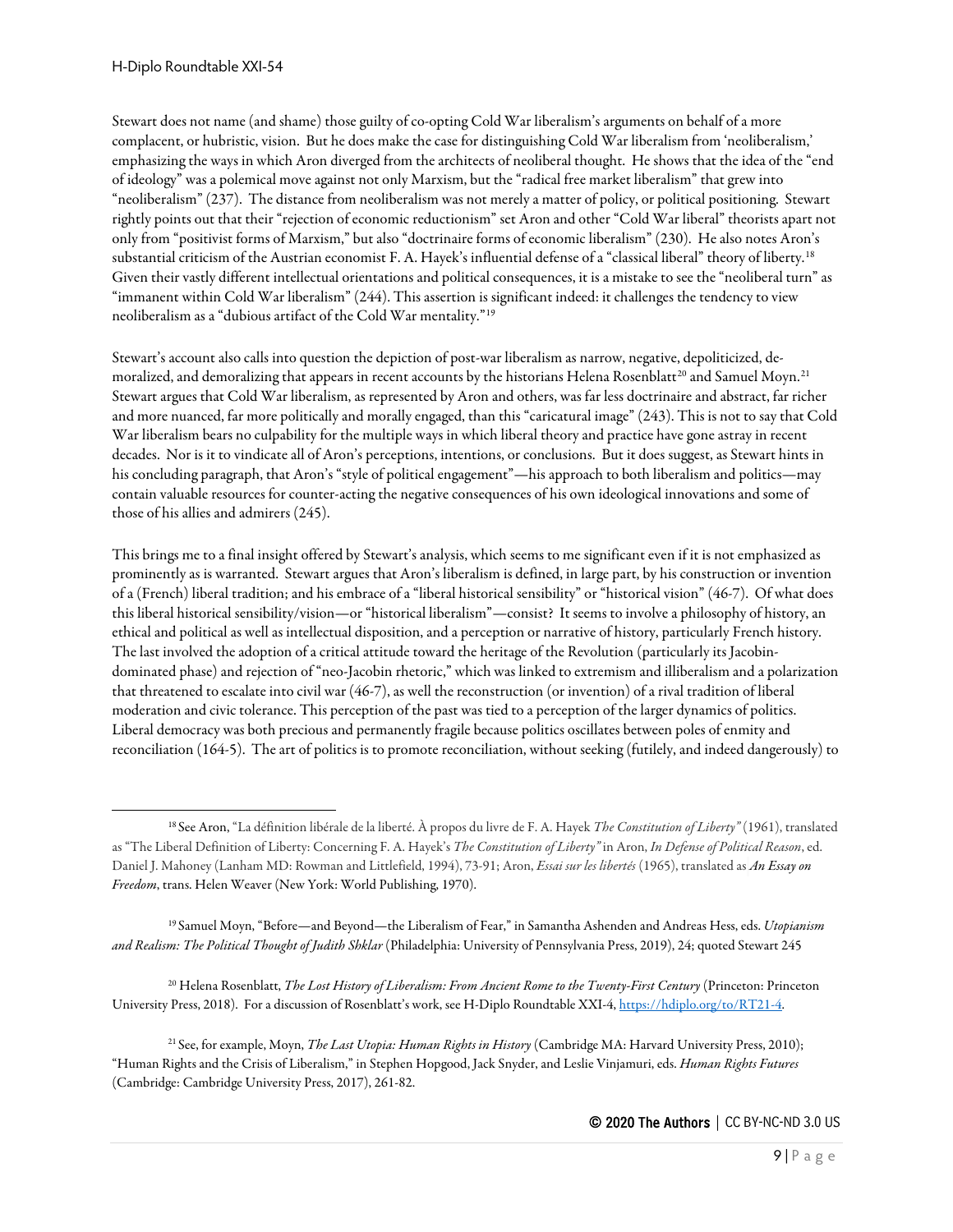Stewart does not name (and shame) those guilty of co-opting Cold War liberalism's arguments on behalf of a more complacent, or hubristic, vision. But he does make the case for distinguishing Cold War liberalism from 'neoliberalism,' emphasizing the ways in which Aron diverged from the architects of neoliberal thought. He shows that the idea of the "end of ideology" was a polemical move against not only Marxism, but the "radical free market liberalism" that grew into "neoliberalism" (237). The distance from neoliberalism was not merely a matter of policy, or political positioning. Stewart rightly points out that their "rejection of economic reductionism" set Aron and other "Cold War liberal" theorists apart not only from "positivist forms of Marxism," but also "doctrinaire forms of economic liberalism" (230). He also notes Aron's substantial criticism of the Austrian economist F. A. Hayek's influential defense of a "classical liberal" theory of liberty.[18](#page-8-0) Given their vastly different intellectual orientations and political consequences, it is a mistake to see the "neoliberal turn" as "immanent within Cold War liberalism" (244). This assertion is significant indeed: it challenges the tendency to view neoliberalism as a "dubious artifact of the Cold War mentality."[19](#page-8-1)

Stewart's account also calls into question the depiction of post-war liberalism as narrow, negative, depoliticized, de-moralized, and demoralizing that appears in recent accounts by the historians Helena Rosenblatt<sup>[20](#page-8-2)</sup> and Samuel Moyn.<sup>[21](#page-8-3)</sup> Stewart argues that Cold War liberalism, as represented by Aron and others, was far less doctrinaire and abstract, far richer and more nuanced, far more politically and morally engaged, than this "caricatural image" (243). This is not to say that Cold War liberalism bears no culpability for the multiple ways in which liberal theory and practice have gone astray in recent decades. Nor is it to vindicate all of Aron's perceptions, intentions, or conclusions. But it does suggest, as Stewart hints in his concluding paragraph, that Aron's "style of political engagement"—his approach to both liberalism and politics—may contain valuable resources for counter-acting the negative consequences of his own ideological innovations and some of those of his allies and admirers (245).

This brings me to a final insight offered by Stewart's analysis, which seems to me significant even if it is not emphasized as prominently as is warranted. Stewart argues that Aron's liberalism is defined, in large part, by his construction or invention of a (French) liberal tradition; and his embrace of a "liberal historical sensibility" or "historical vision" (46-7). Of what does this liberal historical sensibility/vision—or "historical liberalism"—consist? It seems to involve a philosophy of history, an ethical and political as well as intellectual disposition, and a perception or narrative of history, particularly French history. The last involved the adoption of a critical attitude toward the heritage of the Revolution (particularly its Jacobindominated phase) and rejection of "neo-Jacobin rhetoric," which was linked to extremism and illiberalism and a polarization that threatened to escalate into civil war (46-7), as well the reconstruction (or invention) of a rival tradition of liberal moderation and civic tolerance. This perception of the past was tied to a perception of the larger dynamics of politics. Liberal democracy was both precious and permanently fragile because politics oscillates between poles of enmity and reconciliation (164-5). The art of politics is to promote reconciliation, without seeking (futilely, and indeed dangerously) to

<span id="page-8-1"></span><sup>19</sup> Samuel Moyn, "Before—and Beyond—the Liberalism of Fear," in Samantha Ashenden and Andreas Hess, eds. *Utopianism and Realism: The Political Thought of Judith Shklar* (Philadelphia: University of Pennsylvania Press, 2019), 24; quoted Stewart 245

<span id="page-8-2"></span><sup>20</sup> Helena Rosenblatt, *The Lost History of Liberalism: From Ancient Rome to the Twenty-First Century* (Princeton: Princeton University Press, 2018). For a discussion of Rosenblatt's work, see H-Diplo Roundtable XXI-4, [https://hdiplo.org/to/RT21-4.](https://hdiplo.org/to/RT21-4)

<span id="page-8-3"></span><sup>21</sup> See, for example, Moyn, *The Last Utopia: Human Rights in History* (Cambridge MA: Harvard University Press, 2010); "Human Rights and the Crisis of Liberalism," in Stephen Hopgood, Jack Snyder, and Leslie Vinjamuri, eds. *Human Rights Futures* (Cambridge: Cambridge University Press, 2017), 261-82.

<span id="page-8-0"></span><sup>18</sup> See Aron, "La définition libérale de la liberté. À propos du livre de F. A. Hayek *The Constitution of Liberty"* (1961), translated as "The Liberal Definition of Liberty: Concerning F. A. Hayek's *The Constitution of Liberty"* in Aron, *In Defense of Political Reason*, ed. Daniel J. Mahoney (Lanham MD: Rowman and Littlefield, 1994), 73-91; Aron, *Essai sur les libertés* (1965), translated as *An Essay on Freedom*, trans. Helen Weaver (New York: World Publishing, 1970).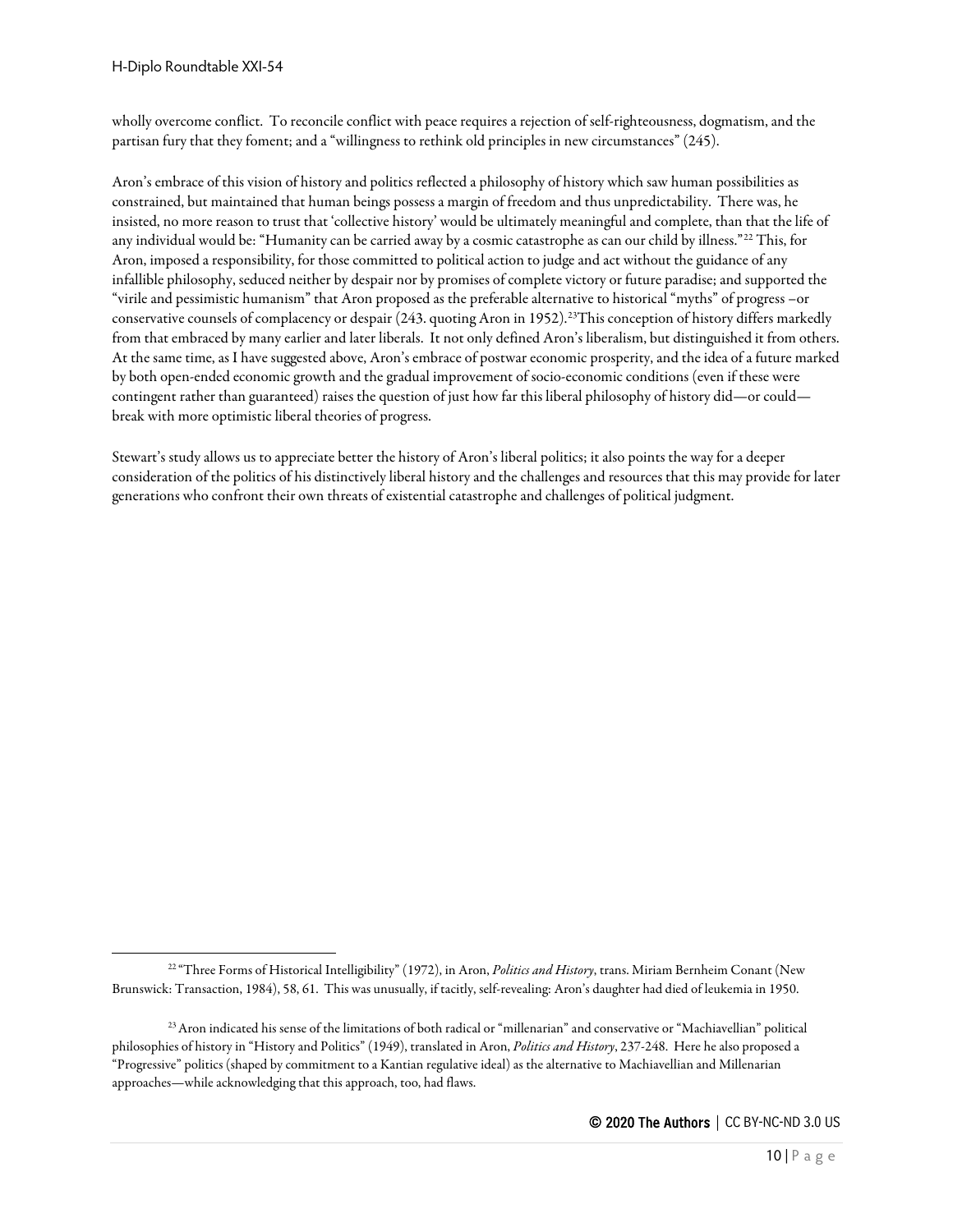wholly overcome conflict. To reconcile conflict with peace requires a rejection of self-righteousness, dogmatism, and the partisan fury that they foment; and a "willingness to rethink old principles in new circumstances" (245).

Aron's embrace of this vision of history and politics reflected a philosophy of history which saw human possibilities as constrained, but maintained that human beings possess a margin of freedom and thus unpredictability. There was, he insisted, no more reason to trust that 'collective history' would be ultimately meaningful and complete, than that the life of any individual would be: "Humanity can be carried away by a cosmic catastrophe as can our child by illness."[22](#page-9-0) This, for Aron, imposed a responsibility, for those committed to political action to judge and act without the guidance of any infallible philosophy, seduced neither by despair nor by promises of complete victory or future paradise; and supported the "virile and pessimistic humanism" that Aron proposed as the preferable alternative to historical "myths" of progress –or conservative counsels of complacency or despair (243. quoting Aron in 1952).<sup>23</sup>This conception of history differs markedly from that embraced by many earlier and later liberals. It not only defined Aron's liberalism, but distinguished it from others. At the same time, as I have suggested above, Aron's embrace of postwar economic prosperity, and the idea of afuture marked by both open-ended economic growth and the gradual improvement of socio-economic conditions (even if these were contingent rather than guaranteed) raises the question of just how far this liberal philosophy of history did—or could break with more optimistic liberal theories of progress.

Stewart's study allows us to appreciate better the history of Aron's liberal politics; it also points the way for a deeper consideration of the politics of his distinctively liberal history and the challenges and resources that this may provide for later generations who confront their own threats of existential catastrophe and challenges of political judgment.

<span id="page-9-0"></span><sup>22</sup> "Three Forms of Historical Intelligibility" (1972), in Aron, *Politics and History*, trans. Miriam Bernheim Conant (New Brunswick: Transaction, 1984), 58, 61. This was unusually, if tacitly, self-revealing: Aron's daughter had died of leukemia in 1950.

<span id="page-9-1"></span><sup>&</sup>lt;sup>23</sup> Aron indicated his sense of the limitations of both radical or "millenarian" and conservative or "Machiavellian" political philosophies of history in "History and Politics" (1949), translated in Aron, *Politics and History*, 237-248. Here he also proposed a "Progressive" politics (shaped by commitment to a Kantian regulative ideal) as the alternative to Machiavellian and Millenarian approaches—while acknowledging that this approach, too, had flaws.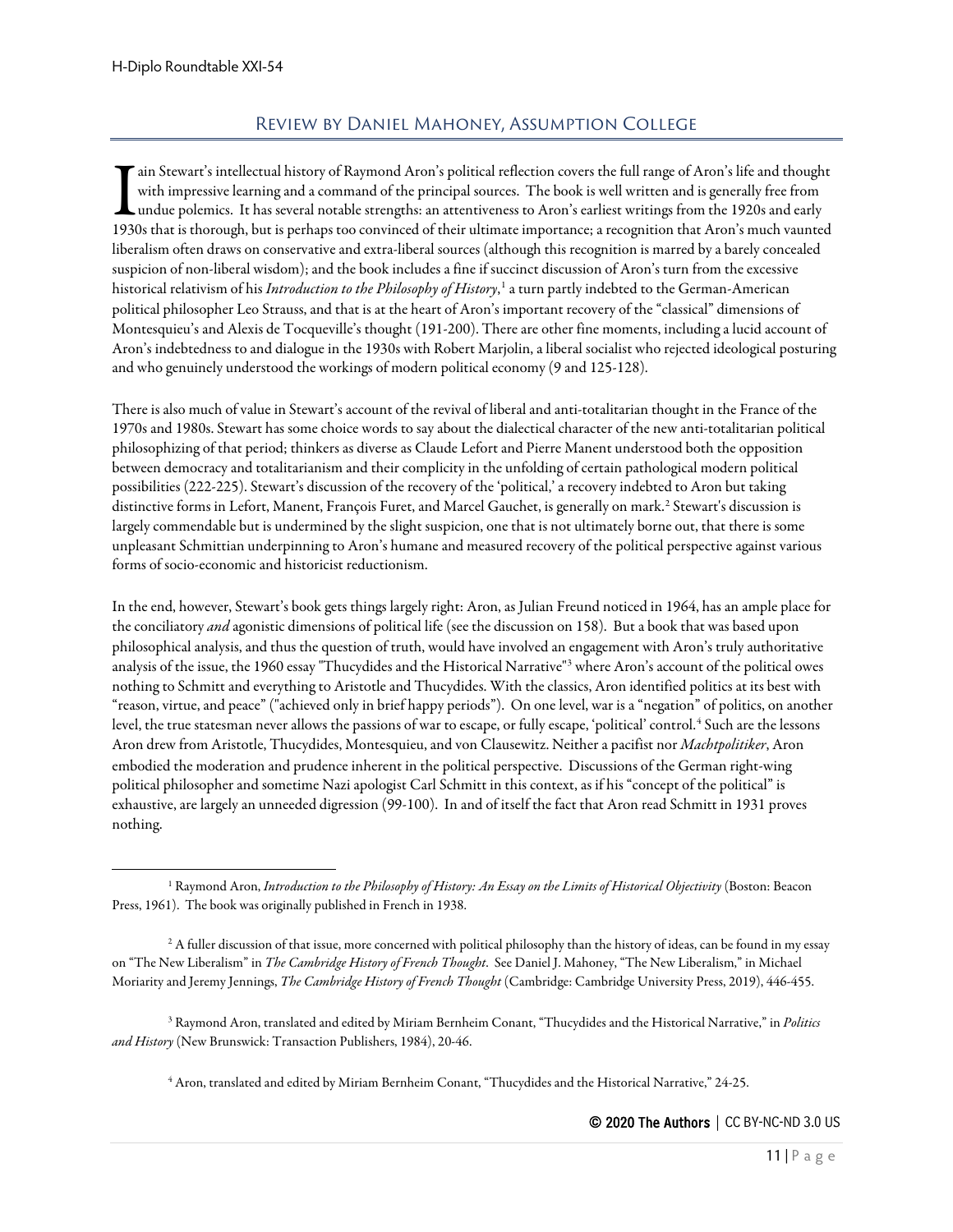## Review by Daniel Mahoney, Assumption College

<span id="page-10-0"></span>ain Stewart's intellectual history of Raymond Aron's political reflection covers the full range of Aron's life and thought with impressive learning and a command of the principal sources. The book is well written and is generally free from  $\blacksquare$ undue polemics. It has several notable strengths: an attentiveness to Aron's earliest writings from the 1920s and early 1930s that is thorough, but is perhaps too convinced of their ultimate importance; a recognition that Aron's much value  $1930s$  that is thorough, but is perhaps too convinced of their ultimate importance; a recognition tha liberalism often draws on conservative and extra-liberal sources (although this recognition is marred by a barely concealed suspicion of non-liberal wisdom); and the book includes a fine if succinct discussion of Aron's turn from the excessive historical relativism of his *Introduction to the Philosophy of History*, [1](#page-10-1) a turn partly indebted to the German-American political philosopher Leo Strauss, and that is at the heart of Aron's important recovery of the "classical" dimensions of Montesquieu's and Alexis de Tocqueville's thought (191-200). There are other fine moments, including a lucid account of Aron's indebtedness to and dialogue in the 1930s with Robert Marjolin, a liberal socialist who rejected ideological posturing and who genuinely understood the workings of modern political economy (9 and 125-128).

There is also much of value in Stewart's account of the revival of liberal and anti-totalitarian thought in the France of the 1970s and 1980s. Stewart has some choice words to say about the dialectical character of the new anti-totalitarian political philosophizing of that period; thinkers as diverse as Claude Lefort and Pierre Manent understood both the opposition between democracy and totalitarianism and their complicity in the unfolding of certain pathological modern political possibilities (222-225). Stewart's discussion of the recovery of the 'political,' a recovery indebted to Aron but taking distinctive forms in Lefort, Manent, François Furet, and Marcel Gauchet, is generally on mark. [2](#page-10-2) Stewart's discussion is largely commendable but is undermined by the slight suspicion, one that is not ultimately borne out, that there is some unpleasant Schmittian underpinning to Aron's humane and measured recovery of the political perspective against various forms of socio-economic and historicist reductionism.

In the end, however, Stewart's book gets things largely right: Aron, as Julian Freund noticed in 1964, has an ample place for the conciliatory *and* agonistic dimensions of political life (see the discussion on 158). But a book that was based upon philosophical analysis, and thus the question of truth, would have involved an engagement with Aron's truly authoritative analysis of the issue, the 1960 essay "Thucydides and the Historical Narrative"[3](#page-10-3) where Aron's account of the political owes nothing to Schmitt and everything to Aristotle and Thucydides. With the classics, Aron identified politics at its best with "reason, virtue, and peace" ("achieved only in brief happy periods"). On one level, war is a "negation" of politics, on another level, the true statesman never allows the passions of war to escape, or fully escape, 'political' control.<sup>[4](#page-10-4)</sup> Such are the lessons Aron drew from Aristotle, Thucydides, Montesquieu, and von Clausewitz. Neither a pacifist nor *Machtpolitiker*, Aron embodied the moderation and prudence inherent in the political perspective. Discussions of the German right-wing political philosopher and sometime Nazi apologist Carl Schmitt in this context, as if his "concept of the political" is exhaustive, are largely an unneeded digression (99-100). In and of itself the fact that Aron read Schmitt in 1931 proves nothing.

<span id="page-10-4"></span><span id="page-10-3"></span><sup>3</sup> Raymond Aron, translated and edited by Miriam Bernheim Conant, "Thucydides and the Historical Narrative," in *Politics and History* (New Brunswick: Transaction Publishers, 1984), 20-46.

<sup>4</sup> Aron, translated and edited by Miriam Bernheim Conant, "Thucydides and the Historical Narrative," 24-25.

<span id="page-10-1"></span><sup>&</sup>lt;sup>1</sup> Raymond Aron, *Introduction to the Philosophy of History: An Essay on the Limits of Historical Objectivity (Boston: Beacon* Press, 1961). The book was originally published in French in 1938.

<span id="page-10-2"></span> $2$  A fuller discussion of that issue, more concerned with political philosophy than the history of ideas, can be found in my essay on "The New Liberalism" in *The Cambridge History of French Thought*. See Daniel J. Mahoney, "The New Liberalism," in Michael Moriarity and Jeremy Jennings, *The Cambridge History of French Thought* (Cambridge: Cambridge University Press, 2019), 446-455.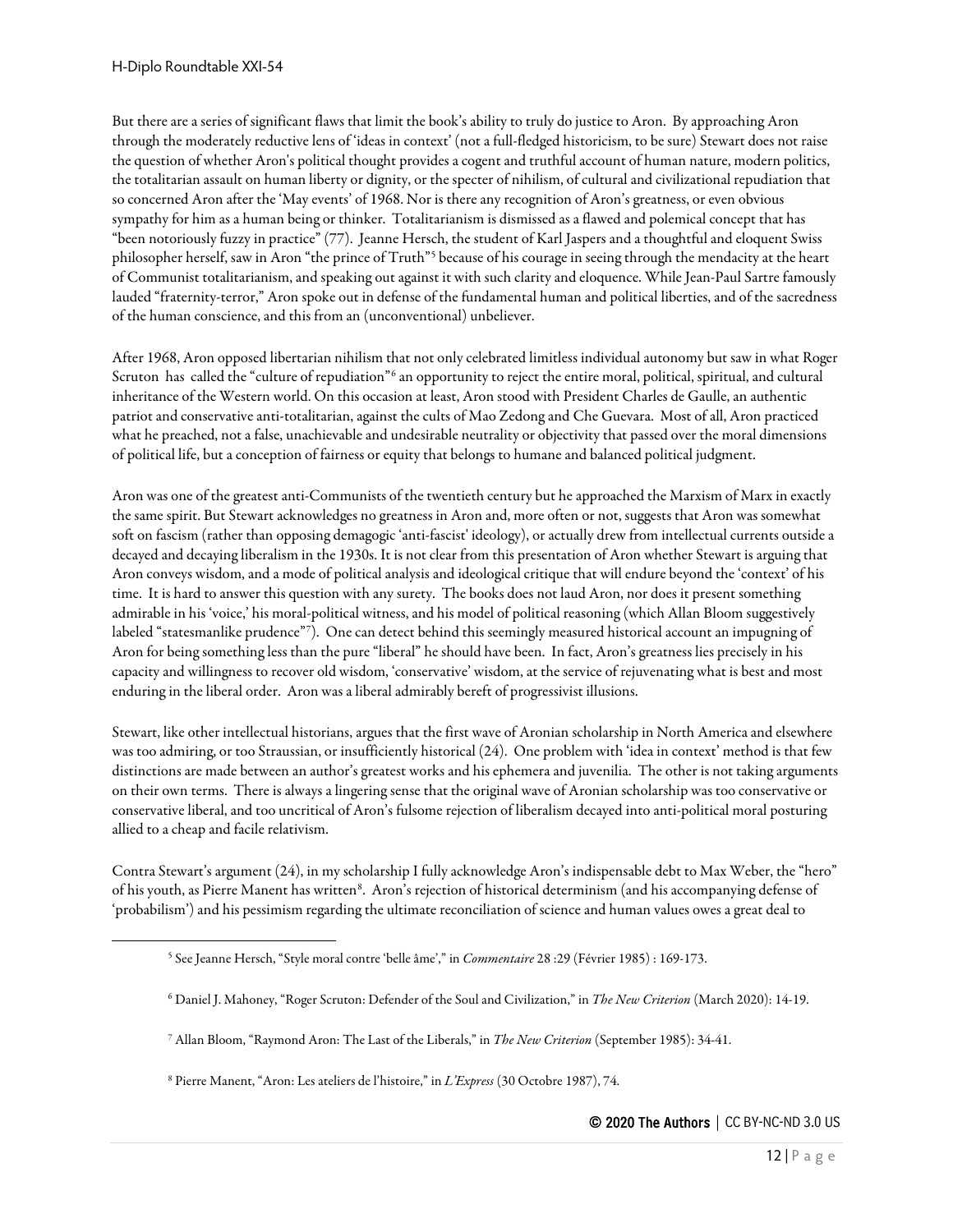But there are a series of significant flaws that limit the book's ability to truly do justice to Aron. By approaching Aron through the moderately reductive lens of 'ideas in context' (not a full-fledged historicism, to be sure) Stewart does not raise the question of whether Aron's political thought provides a cogent and truthful account of human nature, modern politics, the totalitarian assault on human liberty or dignity, or the specter of nihilism, of cultural and civilizational repudiation that so concerned Aron after the 'May events' of 1968. Nor is there any recognition of Aron's greatness, or even obvious sympathy for him as a human being or thinker. Totalitarianism is dismissed as aflawed and polemical concept that has "been notoriously fuzzy in practice" (77). Jeanne Hersch, the student of Karl Jaspers and a thoughtful and eloquent Swiss philosopher herself, saw in Aron "the prince of Truth"<sup>[5](#page-11-0)</sup> because of his courage in seeing through the mendacity at the heart of Communist totalitarianism, and speaking out against it with such clarity and eloquence. While Jean-Paul Sartre famously lauded "fraternity-terror," Aron spoke out in defense of the fundamental human and political liberties, and of the sacredness of the human conscience, and this from an (unconventional) unbeliever.

After 1968, Aron opposed libertarian nihilism that not only celebrated limitless individual autonomy but saw in what Roger Scruton has called the "culture of repudiation"<sup>[6](#page-11-1)</sup> an opportunity to reject the entire moral, political, spiritual, and cultural inheritance of the Western world. On this occasion at least, Aron stood with President Charles de Gaulle, an authentic patriot and conservative anti-totalitarian, against the cults of Mao Zedong and Che Guevara. Most of all, Aron practiced what he preached, not a false, unachievable and undesirable neutrality or objectivity that passed over the moral dimensions of political life, but a conception of fairness or equity that belongs to humane and balanced political judgment.

Aron was one of the greatest anti-Communists of the twentieth century but he approached the Marxism of Marx in exactly the same spirit. But Stewart acknowledges no greatness in Aron and, more often or not, suggests that Aron was somewhat soft on fascism (rather than opposing demagogic 'anti-fascist' ideology), or actually drew from intellectual currents outside a decayed and decaying liberalism in the 1930s. It is not clear from this presentation of Aron whether Stewart is arguing that Aron conveys wisdom, and a mode of political analysis and ideological critique that will endure beyond the 'context' of his time. It is hard to answer this question with any surety. The books does not laud Aron, nor does it present something admirable in his 'voice,' his moral-political witness, and his model of political reasoning (which Allan Bloom suggestively labeled "statesmanlike prudence"[7](#page-11-2) ). One can detect behind this seemingly measured historical account an impugning of Aron for being something less than the pure "liberal" he should have been. In fact, Aron's greatness lies precisely in his capacity and willingness to recover old wisdom, 'conservative' wisdom, at the service of rejuvenating what is best and most enduring in the liberal order. Aron was a liberal admirably bereft of progressivist illusions.

Stewart, like other intellectual historians, argues that the first wave of Aronian scholarship in North America and elsewhere was too admiring, or too Straussian, or insufficiently historical (24). One problem with 'idea in context' method is that few distinctions are made between an author's greatest works and his ephemera and juvenilia. The other is not taking arguments on their own terms. There is always a lingering sense that the original wave of Aronian scholarship was too conservative or conservative liberal, and too uncritical of Aron's fulsome rejection of liberalism decayed into anti-political moral posturing allied to a cheap and facile relativism.

<span id="page-11-0"></span>Contra Stewart's argument (24), in my scholarship I fully acknowledge Aron's indispensable debt to Max Weber, the "hero" of his youth, as Pierre Manent has written<sup>[8](#page-11-3)</sup>. Aron's rejection of historical determinism (and his accompanying defense of 'probabilism') and his pessimism regarding the ultimate reconciliation of science and human values owes a great deal to

<sup>5</sup> See Jeanne Hersch, "Style moral contre 'belle âme'," in *Commentaire* 28 :29 (Février 1985) : 169-173.

<span id="page-11-1"></span><sup>6</sup> Daniel J. Mahoney, "Roger Scruton: Defender of the Soul and Civilization," in *The New Criterion* (March 2020): 14-19.

<span id="page-11-2"></span><sup>7</sup> Allan Bloom, "Raymond Aron: The Last of the Liberals," in *The New Criterion* (September 1985): 34-41.

<span id="page-11-3"></span><sup>8</sup> Pierre Manent, "Aron: Les ateliers de l'histoire," in *L'Express* (30 Octobre 1987), 74.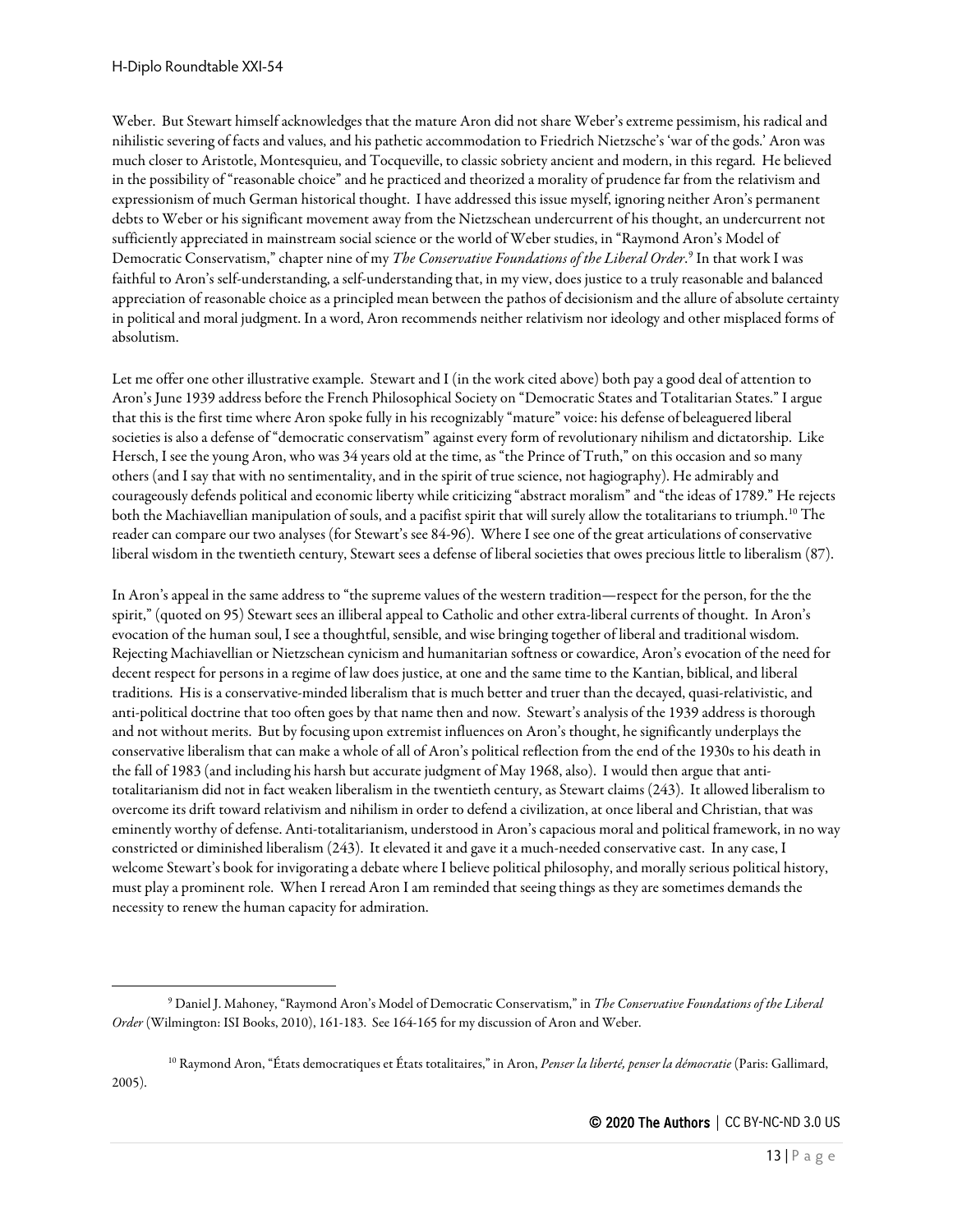Weber. But Stewart himself acknowledges that the mature Aron did not share Weber's extreme pessimism, his radical and nihilistic severing of facts and values, and his pathetic accommodation to Friedrich Nietzsche's 'war of the gods.' Aron was much closer to Aristotle, Montesquieu, and Tocqueville, to classic sobriety ancient and modern, in this regard. He believed in the possibility of "reasonable choice" and he practiced and theorized a morality of prudence far from the relativism and expressionism of much German historical thought. I have addressed this issue myself, ignoring neither Aron's permanent debts to Weber or his significant movement away from the Nietzschean undercurrent of his thought, an undercurrent not sufficiently appreciated in mainstream social science or the world of Weber studies, in "Raymond Aron's Model of Democratic Conservatism," chapter nine of my *The Conservative Foundations of the Liberal Order*. [9](#page-12-0) In that work I was faithful to Aron's self-understanding, a self-understanding that, in my view, does justice to a truly reasonable and balanced appreciation of reasonable choice as a principled mean between the pathos of decisionism and the allure of absolute certainty in political and moral judgment. In a word, Aron recommends neither relativism nor ideology and other misplaced forms of absolutism.

Let me offer one other illustrative example. Stewart and I (in the work cited above) both pay a good deal of attention to Aron's June 1939 address before the French Philosophical Society on "Democratic States and Totalitarian States." I argue that this is the first time where Aron spoke fully in his recognizably "mature" voice: his defense of beleaguered liberal societies is also a defense of "democratic conservatism" against every form of revolutionary nihilism and dictatorship. Like Hersch, I see the young Aron, who was 34 years old at the time, as "the Prince of Truth," on this occasion and so many others (and I say that with no sentimentality, and in the spirit of true science, not hagiography). He admirably and courageously defends political and economic liberty while criticizing "abstract moralism" and "the ideas of 1789." He rejects both the Machiavellian manipulation of souls, and a pacifist spirit that will surely allow the totalitarians to triumph.<sup>[10](#page-12-1)</sup> The reader can compare our two analyses (for Stewart's see 84-96). Where I see one of the great articulations of conservative liberal wisdom in the twentieth century, Stewart sees a defense of liberal societies that owes precious little to liberalism (87).

In Aron's appeal in the same address to "the supreme values of the western tradition—respect for the person, for the the spirit," (quoted on 95) Stewart sees an illiberal appeal to Catholic and other extra-liberal currents of thought. In Aron's evocation of the human soul, I see a thoughtful, sensible, and wise bringing together of liberal and traditional wisdom. Rejecting Machiavellian or Nietzschean cynicism and humanitarian softness or cowardice, Aron's evocation of the need for decent respect for persons in a regime of law does justice, at one and the same time to the Kantian, biblical, and liberal traditions. His is a conservative-minded liberalism that is much better and truer than the decayed, quasi-relativistic, and anti-political doctrine that too often goes by that name then and now. Stewart's analysis of the 1939 address is thorough and not without merits. But by focusing upon extremist influences on Aron's thought, he significantly underplays the conservative liberalism that can make a whole of all of Aron's political reflection from the end of the 1930s to his death in the fall of 1983 (and including his harsh but accurate judgment of May 1968, also). I would then argue that antitotalitarianism did not in fact weaken liberalism in the twentieth century, as Stewart claims (243). It allowed liberalism to overcome its drift toward relativism and nihilism in order to defend a civilization, at once liberal and Christian, that was eminently worthy of defense. Anti-totalitarianism, understood in Aron's capacious moral and political framework, in no way constricted or diminished liberalism (243). It elevated it and gave it a much-needed conservative cast. In any case, I welcome Stewart's book for invigorating a debate where I believe political philosophy, and morally serious political history, must play a prominent role. When I reread Aron I am reminded that seeing things as they are sometimes demands the necessity to renew the human capacity for admiration.

<span id="page-12-1"></span><sup>10</sup> Raymond Aron, "États democratiques et États totalitaires," in Aron, *Penser la liberté, penser la démocratie* (Paris: Gallimard, 2005).

<span id="page-12-0"></span><sup>9</sup> Daniel J. Mahoney, "Raymond Aron's Model of Democratic Conservatism," in *The Conservative Foundations of the Liberal Order* (Wilmington: ISI Books, 2010), 161-183. See 164-165 for my discussion of Aron and Weber.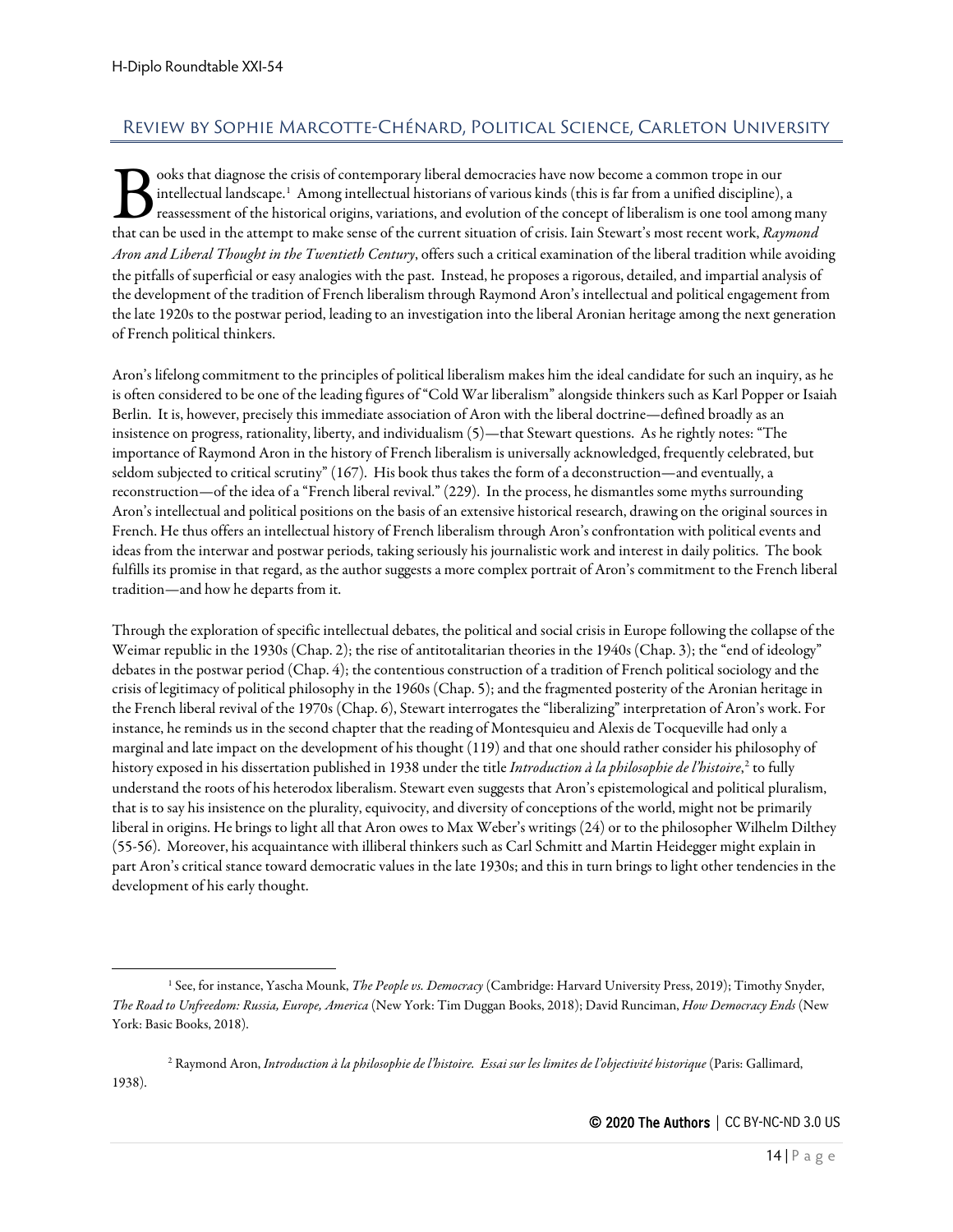# <span id="page-13-0"></span>Review by Sophie Marcotte-Chénard, Political Science, Carleton University

ooks that diagnose the crisis of contemporary liberal democracies have now become a common trope in our intellectual landscape.<sup>[1](#page-13-1)</sup> Among intellectual historians of various kinds (this is far from a unified discipline), a reassessment of the historical origins, variations, and evolution of the concept of liberalism is one tool among many ooks that diagnose the crisis of contemporary liberal democracies have now become a common trope in our intellectual landscape.<sup>1</sup> Among intellectual historians of various kinds (this is far from a unified discipline), a r *Aron and Liberal Thought in the Twentieth Century*, offers such a critical examination of the liberal tradition while avoiding the pitfalls of superficial or easy analogies with the past. Instead, he proposes a rigorous, detailed, and impartial analysis of the development of the tradition of French liberalism through Raymond Aron's intellectual and political engagement from the late 1920s to the postwar period, leading to an investigation into the liberal Aronian heritage among the next generation of French political thinkers.

Aron's lifelong commitment to the principles of political liberalism makes him the ideal candidate for such an inquiry, as he is often considered to be one of the leading figures of "Cold War liberalism" alongside thinkers such as Karl Popper or Isaiah Berlin. It is, however, precisely this immediate association of Aron with the liberal doctrine—defined broadly as an insistence on progress, rationality, liberty, and individualism (5)—that Stewart questions. As he rightly notes: "The importance of Raymond Aron in the history of French liberalism is universally acknowledged, frequently celebrated, but seldom subjected to critical scrutiny" (167). His book thus takes the form of a deconstruction—and eventually, a reconstruction—of the idea of a "French liberal revival." (229). In the process, he dismantles some myths surrounding Aron's intellectual and political positions on the basis of an extensive historical research, drawing on the original sources in French. He thus offers an intellectual history of French liberalism through Aron's confrontation with political events and ideas from the interwar and postwar periods, taking seriously his journalistic work and interest in daily politics. The book fulfills its promise in that regard, as the author suggests a more complex portrait of Aron's commitment to the French liberal tradition—and how he departs from it.

Through the exploration of specific intellectual debates, the political and social crisis in Europe following the collapse of the Weimar republic in the 1930s (Chap. 2); the rise of antitotalitarian theories in the 1940s (Chap. 3); the "end of ideology" debates in the postwar period (Chap. 4); the contentious construction of a tradition of French political sociology and the crisis of legitimacy of political philosophy in the 1960s (Chap. 5); and the fragmented posterity of the Aronian heritage in the French liberal revival of the 1970s (Chap. 6), Stewart interrogates the "liberalizing" interpretation of Aron's work. For instance, he reminds us in the second chapter that the reading of Montesquieu and Alexis de Tocqueville had only a marginal and late impact on the development of his thought (119) and that one should rather consider his philosophy of history exposed in his dissertation published in 1938 under the title *Introduction à la philosophie de l'histoire*, [2](#page-13-2) to fully understand the roots of his heterodox liberalism. Stewart even suggests that Aron's epistemological and political pluralism, that is to say his insistence on the plurality, equivocity, and diversity of conceptions of the world, might not be primarily liberal in origins. He brings to light all that Aron owes to Max Weber's writings (24) or to the philosopher Wilhelm Dilthey (55-56). Moreover, his acquaintance with illiberal thinkers such as Carl Schmitt and Martin Heidegger might explain in part Aron's critical stance toward democratic values in the late 1930s; and this in turn brings to light other tendencies in the development of his early thought.

<span id="page-13-1"></span><sup>1</sup> See, for instance, Yascha Mounk, *The People vs. Democracy* (Cambridge: Harvard University Press, 2019); Timothy Snyder, *The Road to Unfreedom: Russia, Europe, America* (New York: Tim Duggan Books, 2018); David Runciman, *How Democracy Ends* (New York: Basic Books, 2018).

<span id="page-13-2"></span><sup>2</sup> Raymond Aron, *Introduction à la philosophie de l'histoire. Essai sur les limites de l'objectivité historique* (Paris: Gallimard, 1938).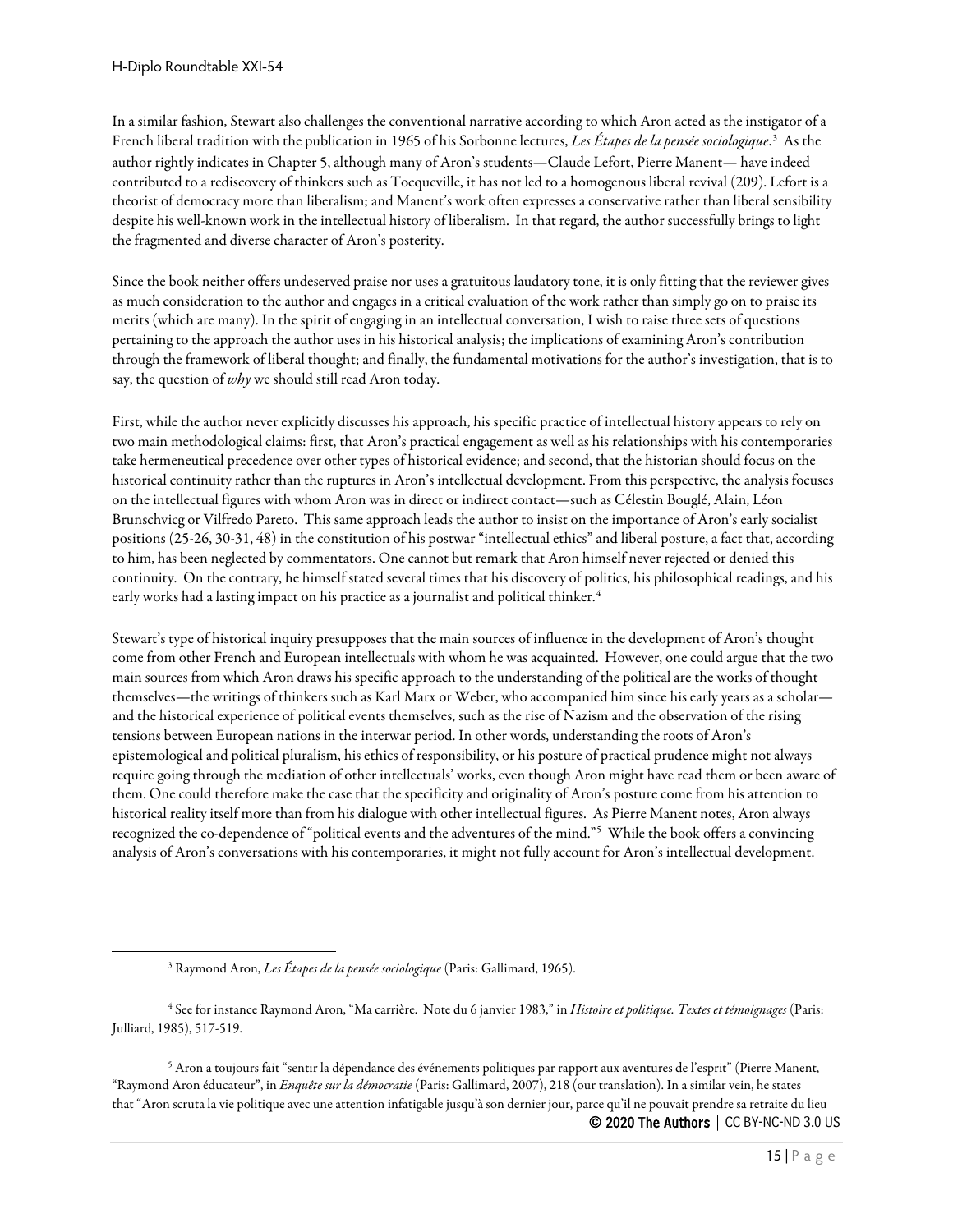In a similar fashion, Stewart also challenges the conventional narrative according to which Aron acted as the instigator of a French liberal tradition with the publication in 1965 of his Sorbonne lectures, *Les Étapes de la pensée sociologique*.<sup>[3](#page-14-0)</sup> As the author rightly indicates in Chapter 5, although many of Aron's students—Claude Lefort, Pierre Manent— have indeed contributed to a rediscovery of thinkers such as Tocqueville, it has not led to a homogenous liberal revival (209). Lefort is a theorist of democracy more than liberalism; and Manent's work often expresses a conservative rather than liberal sensibility despite his well-known work in the intellectual history of liberalism. In that regard, the author successfully brings to light the fragmented and diverse character of Aron's posterity.

Since the book neither offers undeserved praise nor uses a gratuitous laudatory tone, it is only fitting that the reviewer gives as much consideration to the author and engages in a critical evaluation of the work rather than simply go on to praise its merits (which are many). In the spirit of engaging in an intellectual conversation, I wish to raise three sets of questions pertaining to the approach the author uses in his historical analysis; the implications of examining Aron's contribution through the framework of liberal thought; and finally, the fundamental motivations for the author's investigation, that is to say, the question of *why* we should still read Aron today.

First, while the author never explicitly discusses his approach, his specific practice of intellectual history appears to rely on two main methodological claims: first, that Aron's practical engagement as well as his relationships with his contemporaries take hermeneutical precedence over other types of historical evidence; and second, that the historian should focus on the historical continuity rather than the ruptures in Aron's intellectual development. From this perspective, the analysis focuses on the intellectual figures with whom Aron was in direct or indirect contact—such as Célestin Bouglé, Alain, Léon Brunschvicg or Vilfredo Pareto. This same approach leads the author to insist on the importance of Aron's early socialist positions (25-26, 30-31, 48) in the constitution of his postwar "intellectual ethics" and liberal posture, a fact that, according to him, has been neglected by commentators. One cannot but remark that Aron himself never rejected or denied this continuity. On the contrary, he himself stated several times that his discovery of politics, his philosophical readings, and his early works had a lasting impact on his practice as a journalist and political thinker.<sup>[4](#page-14-1)</sup>

Stewart's type of historical inquiry presupposes that the main sources of influence in the development of Aron's thought come from other French and European intellectuals with whom he was acquainted. However, one could argue that the two main sources from which Aron draws his specific approach to the understanding of the political are the works of thought themselves—the writings of thinkers such as Karl Marx or Weber, who accompanied him since his early years as a scholar and the historical experience of political events themselves, such as the rise of Nazism and the observation of the rising tensions between European nations in the interwar period. In other words, understanding the roots of Aron's epistemological and political pluralism, his ethics of responsibility, or his posture of practical prudence might not always require going through the mediation of other intellectuals' works, even though Aron might have read them or been aware of them. One could therefore make the case that the specificity and originality of Aron's posture come from his attention to historical reality itself more than from his dialogue with other intellectual figures. As Pierre Manent notes, Aron always recognized the co-dependence of "political events and the adventures of the mind."[5](#page-14-2) While the book offers a convincing analysis of Aron's conversations with his contemporaries, it might not fully account for Aron's intellectual development.

<span id="page-14-2"></span>© 2020 The Authors | CC BY-NC-ND 3.0 US <sup>5</sup> Aron a toujours fait "sentir la dépendance des événements politiques par rapport aux aventures de l'esprit" (Pierre Manent, "Raymond Aron éducateur", in *Enquête sur la démocratie* (Paris: Gallimard, 2007), 218 (our translation). In a similar vein, he states that "Aron scruta la vie politique avec une attention infatigable jusqu'à son dernier jour, parce qu'il ne pouvait prendre sa retraite du lieu

<sup>3</sup> Raymond Aron, *Les Étapes de la pensée sociologique* (Paris: Gallimard, 1965).

<span id="page-14-1"></span><span id="page-14-0"></span><sup>4</sup> See for instance Raymond Aron, "Ma carrière. Note du 6 janvier 1983," in *Histoire et politique. Textes et témoignages* (Paris: Julliard, 1985), 517-519.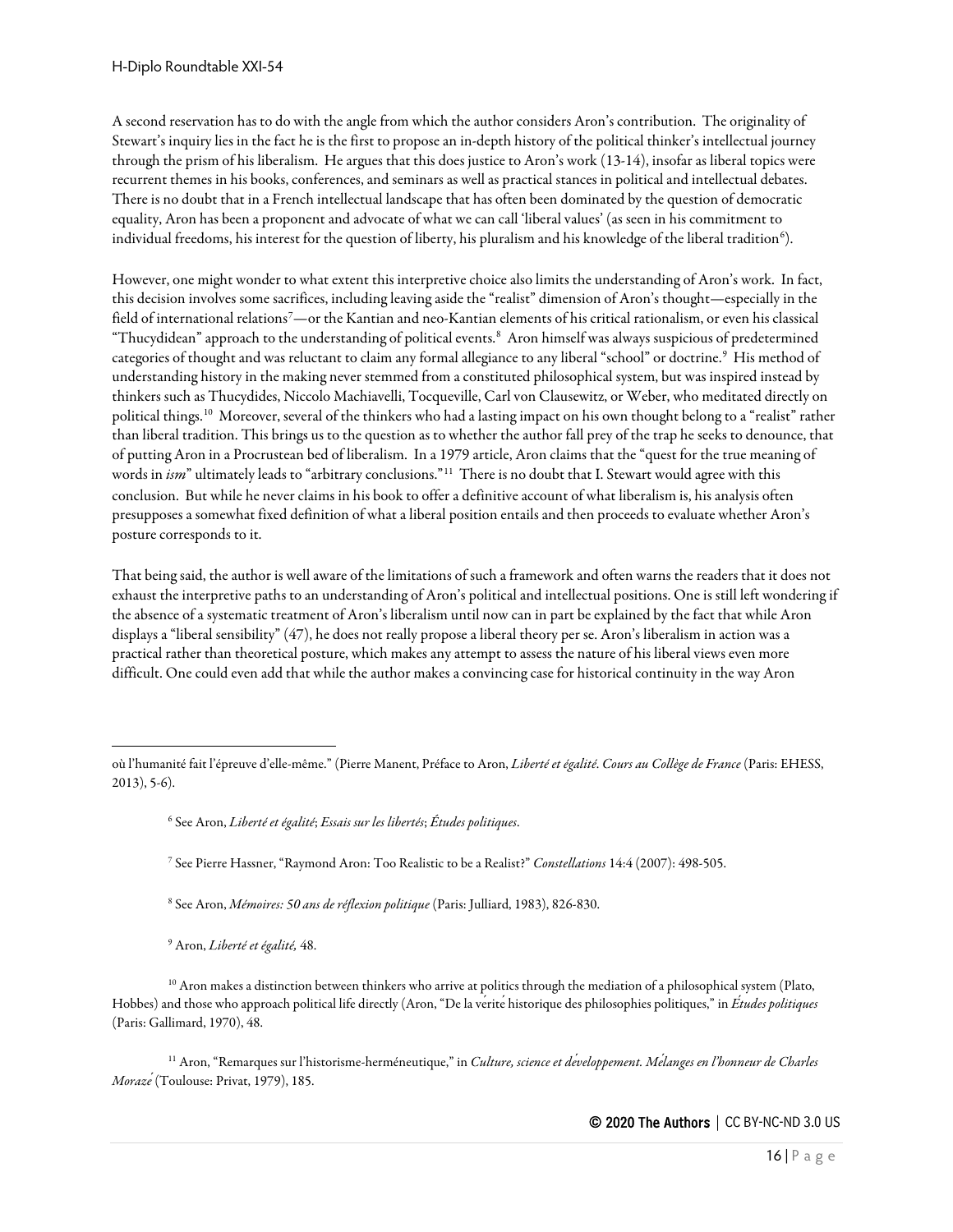A second reservation has to do with the angle from which the author considers Aron's contribution. The originality of Stewart's inquiry lies in the fact he is the first to propose an in-depth history of the political thinker's intellectual journey through the prism of his liberalism. He argues that this does justice to Aron's work (13-14), insofar as liberal topics were recurrent themes in his books, conferences, and seminars as well as practical stances in political and intellectual debates. There is no doubt that in a French intellectual landscape that has often been dominated by the question of democratic equality, Aron has been a proponent and advocate of what we can call 'liberal values' (as seen in his commitment to individual freedoms, his interest for the question of liberty, his pluralism and his knowledge of the liberal tradition $^6$  $^6$ ).

However, one might wonder to what extent this interpretive choice also limits the understanding of Aron's work. In fact, this decision involves some sacrifices, including leaving aside the "realist" dimension of Aron's thought—especially in the field of international relations[7](#page-15-1) —or the Kantian and neo-Kantian elements of his critical rationalism, or even his classical "Thucydidean" approach to the understanding of political events.[8](#page-15-2) Aron himself was always suspicious of predetermined categories of thought and was reluctant to claim any formal allegiance to any liberal "school" or doctrine.<sup>[9](#page-15-3)</sup> His method of understanding history in the making never stemmed from a constituted philosophical system, but was inspired instead by thinkers such as Thucydides, Niccolo Machiavelli, Tocqueville, Carl von Clausewitz, or Weber, who meditated directly on political things.[10](#page-15-4) Moreover, several of the thinkers who had a lasting impact on his own thought belong to a "realist" rather than liberal tradition. This brings us to the question as to whether the author fall prey of the trap he seeks to denounce, that of putting Aron in a Procrustean bed of liberalism. In a 1979 article, Aron claims that the "quest for the true meaning of words in *ism*" ultimately leads to "arbitrary conclusions."[11](#page-15-5) There is no doubt that I. Stewart would agree with this conclusion. But while he never claims in his book to offer a definitive account of what liberalism is, his analysis often presupposes a somewhat fixed definition of what a liberal position entails and then proceeds to evaluate whether Aron's posture corresponds to it.

That being said, the author is well aware of the limitations of such a framework and often warns the readers that it does not exhaust the interpretive paths to an understanding of Aron's political and intellectual positions. One is still left wondering if the absence of a systematic treatment of Aron's liberalism until now can in part be explained by the fact that while Aron displays a "liberal sensibility" (47), he does not really propose a liberal theory per se. Aron's liberalism in action was a practical rather than theoretical posture, which makes any attempt to assess the nature of his liberal views even more difficult. One could even add that while the author makes a convincing case for historical continuity in the way Aron

<sup>6</sup> See Aron, *Liberté et égalité*; *Essais sur les libertés*; *Études politiques*.

<sup>7</sup> See Pierre Hassner, "Raymond Aron: Too Realistic to be a Realist?" *Constellations* 14:4 (2007): 498-505.

<sup>8</sup> See Aron, *Mémoires: 50 ans de réflexion politique* (Paris: Julliard, 1983), 826-830.

<sup>9</sup> Aron, *Liberté et égalité,* 48.

<span id="page-15-4"></span><span id="page-15-3"></span><span id="page-15-2"></span> $10$  Aron makes a distinction between thinkers who arrive at politics through the mediation of a philosophical system (Plato, Hobbes) and those who approach political life directly (Aron, "De la verite historique des philosophies politiques," in *Études politiques* (Paris: Gallimard, 1970), 48.

<span id="page-15-5"></span><sup>11</sup> Aron, "Remarques sur l'historisme-herméneutique," in *Culture, science et développement. Mélanges en l'honneur de Charles Morazé*(Toulouse: Privat, 1979), 185.

<span id="page-15-1"></span><span id="page-15-0"></span>où l'humanité fait l'épreuve d'elle-même." (Pierre Manent, Préface to Aron, *Liberté et égalité*. *Cours au Collège de France* (Paris: EHESS, 2013), 5-6).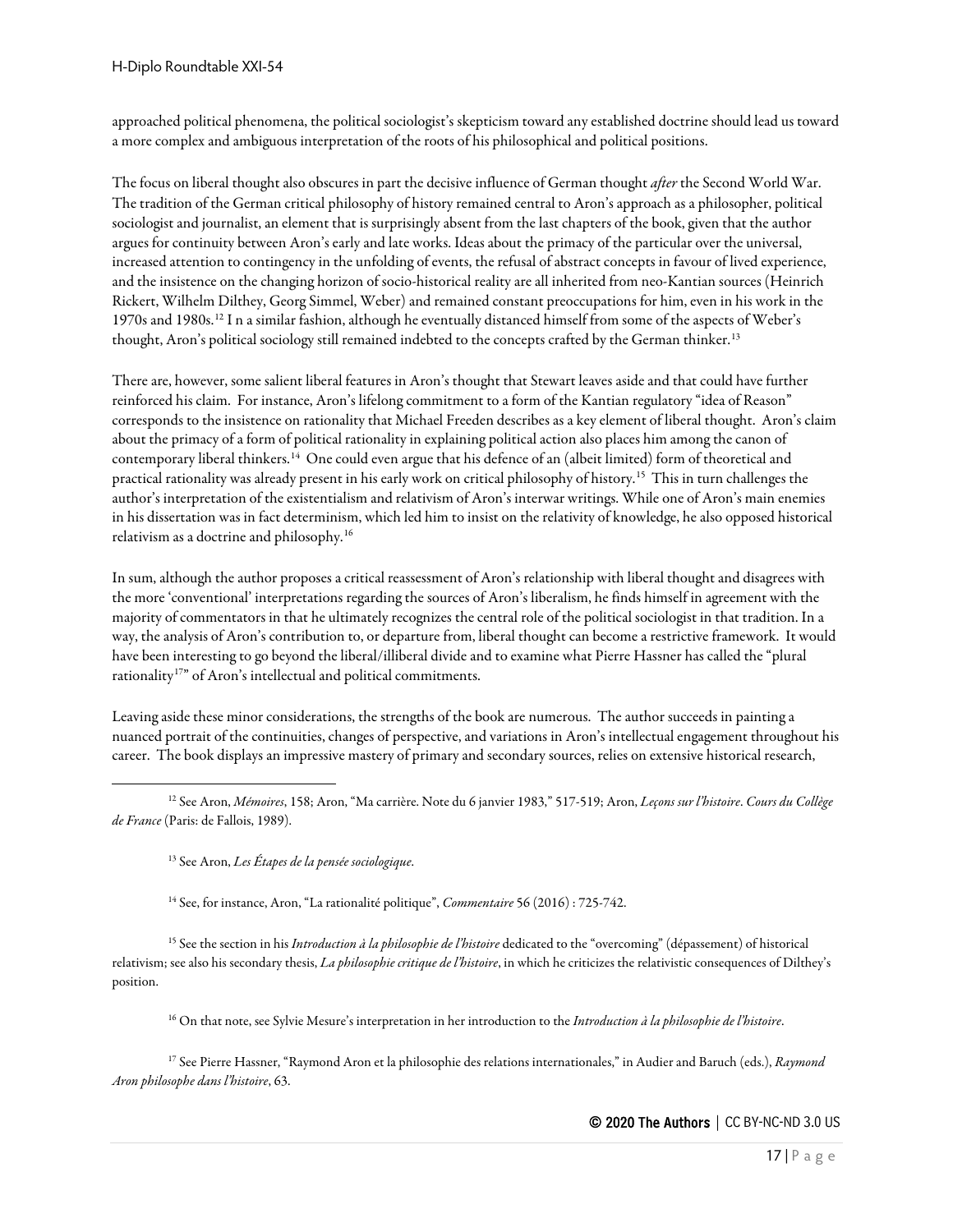approached political phenomena, the political sociologist's skepticism toward any established doctrine should lead us toward a more complex and ambiguous interpretation of the roots of his philosophical and political positions.

The focus on liberal thought also obscures in part the decisive influence of German thought *after* the Second World War. The tradition of the German critical philosophy of history remained central to Aron's approach as a philosopher, political sociologist and journalist, an element that is surprisingly absent from the last chapters of the book, given that the author argues for continuity between Aron's early and late works. Ideas about the primacy of the particular over the universal, increased attention to contingency in the unfolding of events, the refusal of abstract concepts in favour of lived experience, and the insistence on the changing horizon of socio-historical reality are all inherited from neo-Kantian sources (Heinrich Rickert, Wilhelm Dilthey, Georg Simmel, Weber) and remained constant preoccupations for him, even in his work in the 1970s and 1980s.[12](#page-16-0) I n a similar fashion, although he eventually distanced himself from some of the aspects of Weber's thought, Aron's political sociology still remained indebted to the concepts crafted by the German thinker.<sup>[13](#page-16-1)</sup>

There are, however, some salient liberal features in Aron's thought that Stewart leaves aside and that could have further reinforced his claim. For instance, Aron's lifelong commitment to a form of the Kantian regulatory "idea of Reason" corresponds to the insistence on rationality that Michael Freeden describes as a key element of liberal thought. Aron's claim about the primacy of a form of political rationality in explaining political action also places him among the canon of contemporary liberal thinkers.[14](#page-16-2) One could even argue that his defence of an (albeit limited) form of theoretical and practical rationality was already present in his early work on critical philosophy of history.[15](#page-16-3) This in turn challenges the author's interpretation of the existentialism and relativism of Aron's interwar writings. While one of Aron's main enemies in his dissertation was in fact determinism, which led him to insist on the relativity of knowledge, he also opposed historical relativism as a doctrine and philosophy.[16](#page-16-4)

In sum, although the author proposes a critical reassessment of Aron's relationship with liberal thought and disagrees with the more 'conventional' interpretations regarding the sources of Aron's liberalism, he finds himself in agreement with the majority of commentators in that he ultimately recognizes the central role of the political sociologist in that tradition. In a way, the analysis of Aron's contribution to, or departure from, liberal thought can become a restrictive framework. It would have been interesting to go beyond the liberal/illiberal divide and to examine what Pierre Hassner has called the "plural rationality<sup>17</sup>" of Aron's intellectual and political commitments.

Leaving aside these minor considerations, the strengths of the book are numerous. The author succeeds in painting a nuanced portrait of the continuities, changes of perspective, and variations in Aron's intellectual engagement throughout his career. The book displays an impressive mastery of primary and secondary sources, relies on extensive historical research,

<sup>14</sup> See, for instance, Aron, "La rationalité politique", *Commentaire* 56 (2016) : 725-742.

<span id="page-16-3"></span><span id="page-16-2"></span><sup>15</sup> See the section in his *Introduction à la philosophie de l'histoire* dedicated to the "overcoming" (dépassement) of historical relativism; see also his secondary thesis, *La philosophie critique de l'histoire*, in which he criticizes the relativistic consequences of Dilthey's position.

<sup>16</sup> On that note, see Sylvie Mesure's interpretation in her introduction to the *Introduction à la philosophie de l'histoire*.

<span id="page-16-5"></span><span id="page-16-4"></span><sup>17</sup> See Pierre Hassner, "Raymond Aron et la philosophie des relations internationales," in Audier and Baruch (eds.), *Raymond Aron philosophe dans l'histoire*, 63.

<span id="page-16-1"></span><span id="page-16-0"></span><sup>12</sup> See Aron, *Mémoires*, 158; Aron, "Ma carrière. Note du 6 janvier 1983," 517-519; Aron, *Leçons sur l'histoire*. *Cours du Collège de France* (Paris: de Fallois, 1989).

<sup>13</sup> See Aron, *Les Étapes de la pensée sociologique*.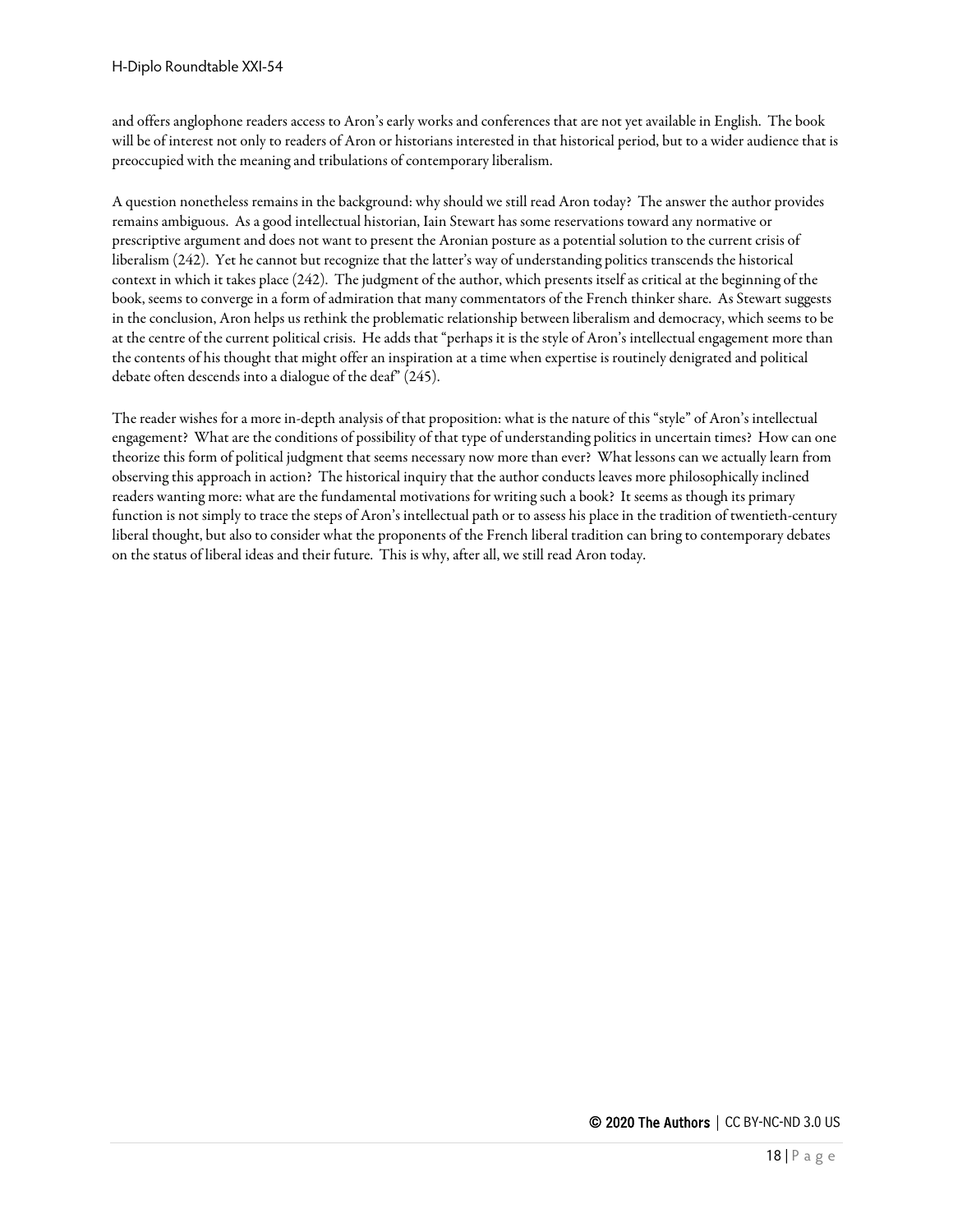and offers anglophone readers access to Aron's early works and conferences that are not yet available in English. The book will be of interest not only to readers of Aron or historians interested in that historical period, but to a wider audience that is preoccupied with the meaning and tribulations of contemporary liberalism.

A question nonetheless remains in the background: why should we still read Aron today? The answer the author provides remains ambiguous. As a good intellectual historian, Iain Stewart has some reservations toward any normative or prescriptive argument and does not want to present the Aronian posture as a potential solution to the current crisis of liberalism (242). Yet he cannot but recognize that the latter's way of understanding politics transcends the historical context in which it takes place (242). The judgment of the author, which presents itself as critical at the beginning of the book, seems to converge in a form of admiration that many commentators of the French thinker share. As Stewart suggests in the conclusion, Aron helps us rethink the problematic relationship between liberalism and democracy, which seems to be at the centre of the current political crisis. He adds that "perhaps it is the style of Aron's intellectual engagement more than the contents of his thought that might offer an inspiration at a time when expertise is routinely denigrated and political debate often descends into a dialogue of the deaf" (245).

The reader wishes for a more in-depth analysis of that proposition: what is the nature of this "style" of Aron's intellectual engagement? What are the conditions of possibility of that type of understanding politics in uncertain times? How can one theorize this form of political judgment that seems necessary now more than ever? What lessons can we actually learn from observing this approach in action? The historical inquiry that the author conducts leaves more philosophically inclined readers wanting more: what are the fundamental motivations for writing such a book? It seems as though its primary function is not simply to trace the steps of Aron's intellectual path or to assess his place in the tradition of twentieth-century liberal thought, but also to consider what the proponents of the French liberal tradition can bring to contemporary debates on the status of liberal ideas and their future. This is why, after all, we still read Aron today.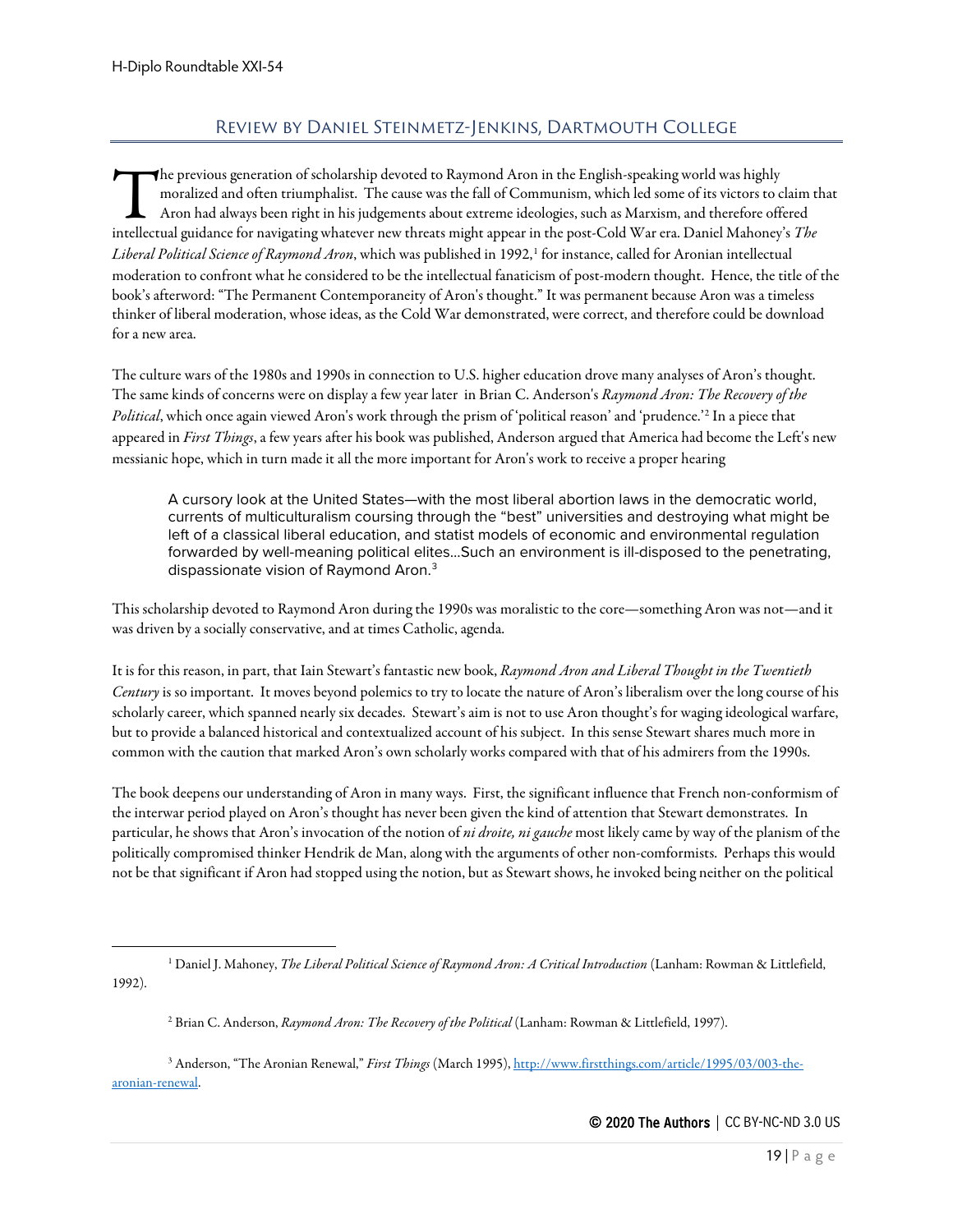# Review by Daniel Steinmetz-Jenkins, Dartmouth College

<span id="page-18-0"></span>he previous generation of scholarship devoted to Raymond Aron in the English-speaking world was highly moralized and often triumphalist. The cause was the fall of Communism, which led some of its victors to claim that Aron had always been right in his judgements about extreme ideologies, such as Marxism, and therefore offered The previous generation of scholarship devoted to Raymond Aron in the English-speaking world was highly moralized and often triumphalist. The cause was the fall of Communism, which led some of its victors to claim the Aron *Liberal Political Science of Raymond Aron*, which was published in [1](#page-18-1)992,<sup>1</sup> for instance, called for Aronian intellectual moderation to confront what he considered to be the intellectual fanaticism of post-modern thought. Hence, the title of the book's afterword: "The Permanent Contemporaneity of Aron's thought." It was permanent because Aron was a timeless thinker of liberal moderation, whose ideas, as the Cold War demonstrated, were correct, and therefore could be download for a new area.

The culture wars of the 1980s and 1990s in connection to U.S. higher education drove many analyses of Aron's thought. The same kinds of concerns were on display a few year later in Brian C. Anderson's *Raymond Aron: The Recovery of the Political*, which once again viewed Aron's work through the prism of 'political reason' and 'prudence.'[2](#page-18-2) In a piece that appeared in *First Things*, a few years after his book was published, Anderson argued that America had become the Left's new messianic hope, which in turn made it all the more important for Aron's work to receive a proper hearing

A cursory look at the United States—with the most liberal abortion laws in the democratic world, currents of multiculturalism coursing through the "best" universities and destroying what might be left of a classical liberal education, and statist models of economic and environmental regulation forwarded by well-meaning political elites...Such an environment is ill-disposed to the penetrating, dispassionate vision of Raymond Aron.<sup>[3](#page-18-3)</sup>

This scholarship devoted to Raymond Aron during the 1990s was moralistic to the core—something Aron was not—and it was driven by a socially conservative, and at times Catholic, agenda.

It is for this reason, in part, that Iain Stewart's fantastic new book, *Raymond Aron and Liberal Thought in the Twentieth Century* is so important. It moves beyond polemics to try to locate the nature of Aron's liberalism over the long course of his scholarly career, which spanned nearly six decades. Stewart's aim is not to use Aron thought's for waging ideological warfare, but to provide a balanced historical and contextualized account of his subject. In this sense Stewart shares much more in common with the caution that marked Aron's own scholarly works compared with that of his admirers from the 1990s.

The book deepens our understanding of Aron in many ways. First, the significant influence that French non-conformism of the interwar period played on Aron's thought has never been given the kind of attention that Stewart demonstrates. In particular, he shows that Aron's invocation of the notion of *ni droite, ni gauche* most likely came by way of the planism of the politically compromised thinker Hendrik de Man, along with the arguments of other non-comformists. Perhaps this would not be that significant if Aron had stopped using the notion, but as Stewart shows, he invoked being neither on the political

<span id="page-18-3"></span><span id="page-18-2"></span><sup>3</sup> Anderson, "The Aronian Renewal," *First Things* (March 1995)[, http://www.firstthings.com/article/1995/03/003-the](http://www.firstthings.com/article/1995/03/003-the-aronian-renewal)[aronian-renewal.](http://www.firstthings.com/article/1995/03/003-the-aronian-renewal)

<span id="page-18-1"></span><sup>&</sup>lt;sup>1</sup> Daniel J. Mahoney, *The Liberal Political Science of Raymond Aron: A Critical Introduction* (Lanham: Rowman & Littlefield, 1992).

<sup>2</sup> Brian C. Anderson, *Raymond Aron: The Recovery of the Political* (Lanham: Rowman & Littlefield, 1997).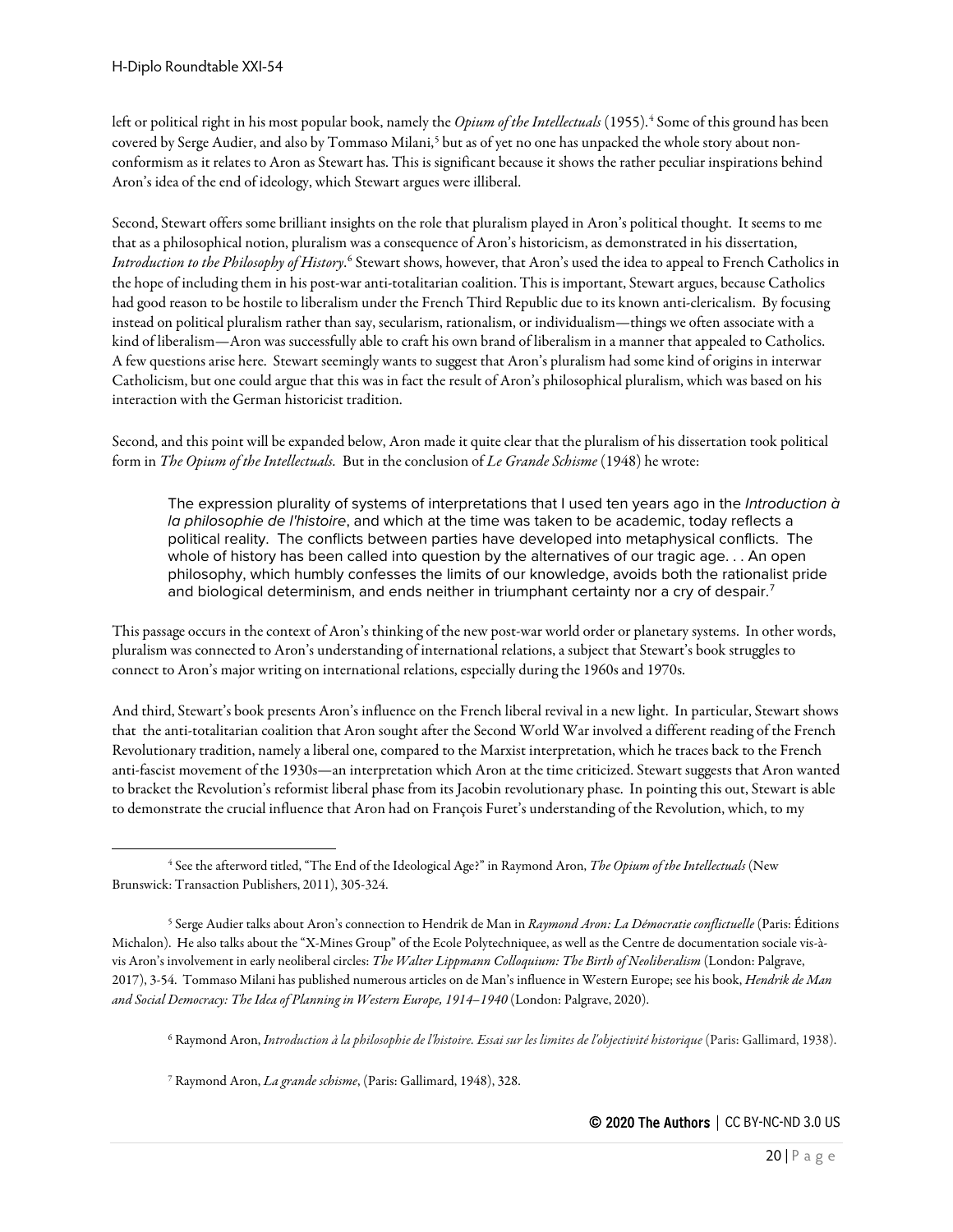left or political right in his most popular book, namely the *Opium of the Intellectuals* (1955).<sup>[4](#page-19-0)</sup> Some of this ground has been covered by Serge Audier, and also by Tommaso Milani,<sup>[5](#page-19-1)</sup> but as of yet no one has unpacked the whole story about nonconformism as it relates to Aron as Stewart has. This is significant because it shows the rather peculiar inspirations behind Aron's idea of the end of ideology, which Stewart argues were illiberal.

Second, Stewart offers some brilliant insights on the role that pluralism played in Aron's political thought. It seems to me that as a philosophical notion, pluralism was a consequence of Aron's historicism, as demonstrated in his dissertation, *Introduction to the Philosophy of History*. [6](#page-19-2) Stewart shows, however, that Aron's used the idea to appeal to French Catholics in the hope of including them in his post-war anti-totalitarian coalition. This is important, Stewart argues, because Catholics had good reason to be hostile to liberalism under the French Third Republic due to its known anti-clericalism. By focusing instead on political pluralism rather than say, secularism, rationalism, or individualism—things we often associate with a kind of liberalism—Aron was successfully able to craft his own brand of liberalism in a manner that appealed to Catholics. A few questions arise here. Stewart seemingly wants to suggest that Aron's pluralism had some kind of origins in interwar Catholicism, but one could argue that this was in fact the result of Aron's philosophical pluralism, which was based on his interaction with the German historicist tradition.

Second, and this point will be expanded below, Aron made it quite clear that the pluralism of his dissertation took political form in *The Opium of the Intellectuals.* But in the conclusion of *Le Grande Schisme* (1948) he wrote:

The expression plurality of systems of interpretations that I used ten years ago in the *Introduction à la philosophie de l'histoire*, and which at the time was taken to be academic, today reflects a political reality. The conflicts between parties have developed into metaphysical conflicts. The whole of history has been called into question by the alternatives of our tragic age. . . An open philosophy, which humbly confesses the limits of our knowledge, avoids both the rationalist pride and biological determinism, and ends neither in triumphant certainty nor a cry of despair.<sup>[7](#page-19-3)</sup>

This passage occurs in the context of Aron's thinking of the new post-war world order or planetary systems. In other words, pluralism was connected to Aron's understanding of international relations, a subject that Stewart's book struggles to connect to Aron's major writing on international relations, especially during the 1960s and 1970s.

And third, Stewart's book presents Aron's influence on the French liberal revival in a new light. In particular, Stewart shows that the anti-totalitarian coalition that Aron sought after the Second World War involved a different reading of the French Revolutionary tradition, namely a liberal one, compared to the Marxist interpretation, which he traces back to the French anti-fascist movement of the 1930s—an interpretation which Aron at the time criticized. Stewart suggests that Aron wanted to bracket the Revolution's reformist liberal phase from its Jacobin revolutionary phase. In pointing this out, Stewart is able to demonstrate the crucial influence that Aron had on François Furet's understanding of the Revolution, which, to my

<sup>6</sup> Raymond Aron, *Introduction à la philosophie de l'histoire. Essai sur les limites de l'objectivité historique* (Paris: Gallimard, 1938).

<span id="page-19-3"></span><sup>7</sup> Raymond Aron, *La grande schisme*, (Paris: Gallimard, 1948), 328.

<span id="page-19-0"></span><sup>4</sup> See the afterword titled, "The End of the Ideological Age?" in Raymond Aron, *The Opium of the Intellectuals* (New Brunswick: Transaction Publishers, 2011), 305-324.

<span id="page-19-2"></span><span id="page-19-1"></span><sup>5</sup> Serge Audier talks about Aron's connection to Hendrik de Man in *Raymond Aron: La Démocratie conflictuelle* (Paris: Éditions Michalon). He also talks about the "X-Mines Group" of the Ecole Polytechniquee, as well as the Centre de documentation sociale vis-àvis Aron's involvement in early neoliberal circles: *The Walter Lippmann Colloquium: The Birth of Neoliberalism* (London: Palgrave, 2017), 3-54. Tommaso Milani has published numerous articles on de Man's influence in Western Europe; see his book, *Hendrik de Man*  and Social Democracy: The Idea of Planning in Western Europe, 1914–1940 (London: Palgrave, 2020).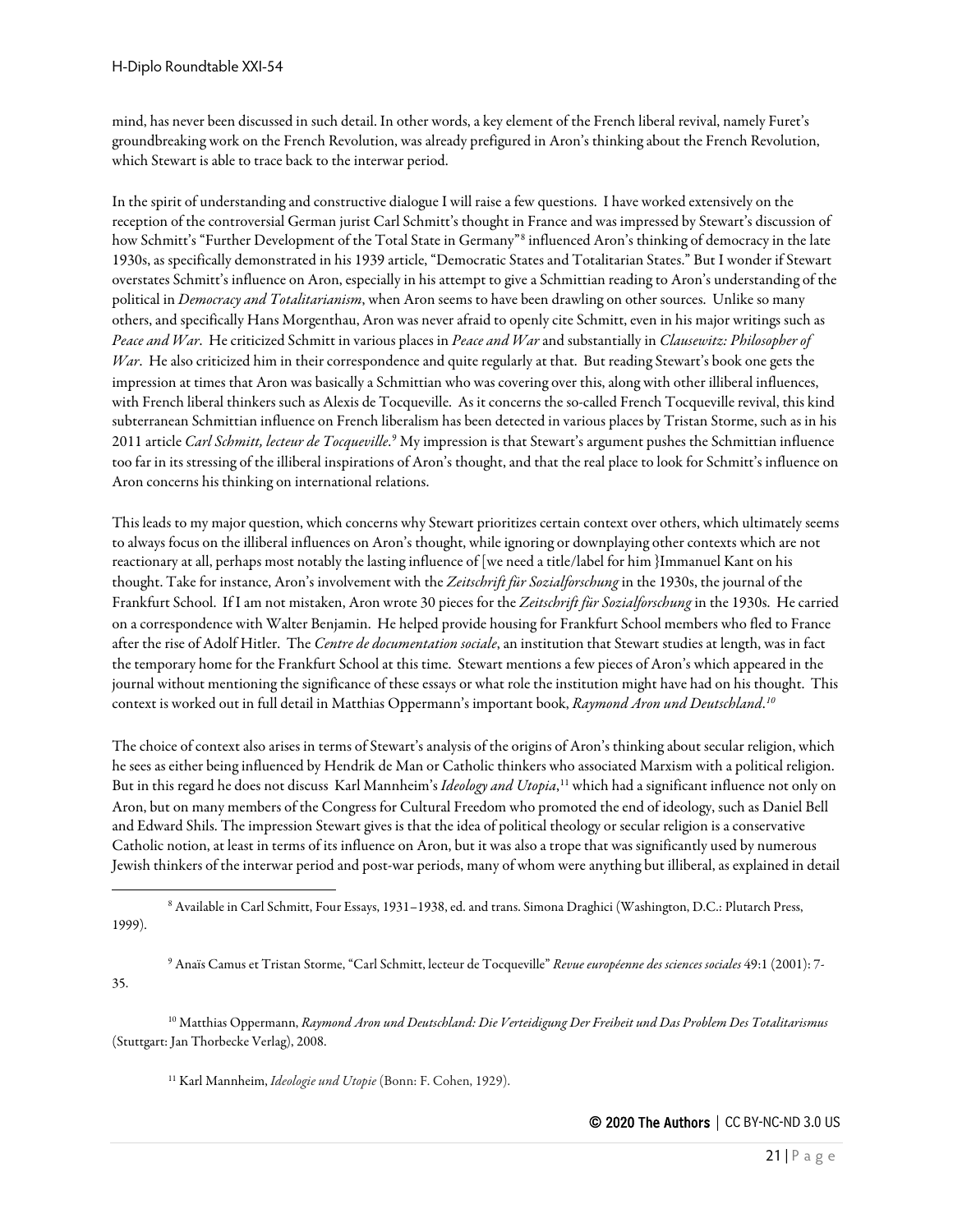mind, has never been discussed in such detail. In other words, a key element of the French liberal revival, namely Furet's groundbreaking work on the French Revolution, was already prefigured in Aron's thinking about the French Revolution, which Stewart is able to trace back to the interwar period.

In the spirit of understanding and constructive dialogue I will raise a few questions. I have worked extensively on the reception of the controversial German jurist Carl Schmitt's thought in France and was impressed by Stewart's discussion of how Schmitt's "Further Development of the Total State in Germany"[8](#page-20-0) influenced Aron's thinking of democracy in the late 1930s, as specifically demonstrated in his 1939 article, "Democratic States and Totalitarian States." But I wonder if Stewart overstates Schmitt's influence on Aron, especially in his attempt to give a Schmittian reading to Aron's understanding of the political in *Democracy and Totalitarianism*, when Aron seems to have been drawling on other sources. Unlike so many others, and specifically Hans Morgenthau, Aron was never afraid to openly cite Schmitt, even in his major writings such as *Peace and War*. He criticized Schmitt in various places in *Peace and War*and substantially in *Clausewitz: Philosopher of War*. He also criticized him in their correspondence and quite regularly at that. But reading Stewart's book one gets the impression at times that Aron was basically a Schmittian who was covering over this, along with other illiberal influences, with French liberal thinkers such as Alexis de Tocqueville. As it concerns the so-called French Tocqueville revival, this kind subterranean Schmittian influence on French liberalism has been detected in various places by Tristan Storme, such as in his 2011 article *Carl Schmitt, lecteur de Tocqueville*. [9](#page-20-1) My impression is that Stewart's argument pushes the Schmittian influence too far in its stressing of the illiberal inspirations of Aron's thought, and that the real place to look for Schmitt's influence on Aron concerns his thinking on international relations.

This leads to my major question, which concerns why Stewart prioritizes certain context over others, which ultimately seems to always focus on the illiberal influences on Aron's thought, while ignoring or downplaying other contexts which are not reactionary at all, perhaps most notably the lasting influence of [we need a title/label for him }Immanuel Kant on his thought. Take for instance, Aron's involvement with the *Zeitschrift für Sozialforschung* in the 1930s, the journal of the Frankfurt School. If I am not mistaken, Aron wrote 30 pieces for the *Zeitschrift für Sozialforschung* in the 1930s. He carried on a correspondence with Walter Benjamin. He helped provide housing for Frankfurt School members who fled to France after the rise of Adolf Hitler. The *Centre de documentation sociale*, an institution that Stewart studies at length, was in fact the temporary home for the Frankfurt School at this time. Stewart mentions a few pieces of Aron's which appeared in the journal without mentioning the significance of these essays or what role the institution might have had on his thought. This context is worked out in full detail in Matthias Oppermann's important book, *Raymond Aron und Deutschland*. *[10](#page-20-2)*

The choice of context also arises in terms of Stewart's analysis of the origins of Aron's thinking about secular religion, which he sees as either being influenced by Hendrik de Man or Catholic thinkers who associated Marxism with a political religion. But in this regard he does not discuss Karl Mannheim's *Ideology and Utopia*, [11](#page-20-3) which had a significant influence not only on Aron, but on many members of the Congress for Cultural Freedom who promoted the end of ideology, such as Daniel Bell and Edward Shils. The impression Stewart gives is that the idea of political theology or secular religion is a conservative Catholic notion, at least in terms of its influence on Aron, but it was also a trope that was significantly used by numerous Jewish thinkers of the interwar period and post-war periods, many of whom were anything but illiberal, as explained in detail

<span id="page-20-0"></span><sup>8</sup> Available in Carl Schmitt, Four Essays, 1931–1938, ed. and trans. Simona Draghici (Washington, D.C.: Plutarch Press, 1999).

<sup>9</sup> Anaïs Camus et Tristan Storme, "Carl Schmitt, lecteur de Tocqueville" *Revue européenne des sciences sociales* 49:1 (2001): 7-

<span id="page-20-3"></span><span id="page-20-2"></span><sup>10</sup> Matthias Oppermann, *Raymond Aron und Deutschland: Die Verteidigung Der Freiheit und Das Problem Des Totalitarismus* (Stuttgart: Jan Thorbecke Verlag), 2008.

<sup>11</sup> Karl Mannheim, *Ideologie und Utopie* (Bonn: F. Cohen, 1929).

<span id="page-20-1"></span>35.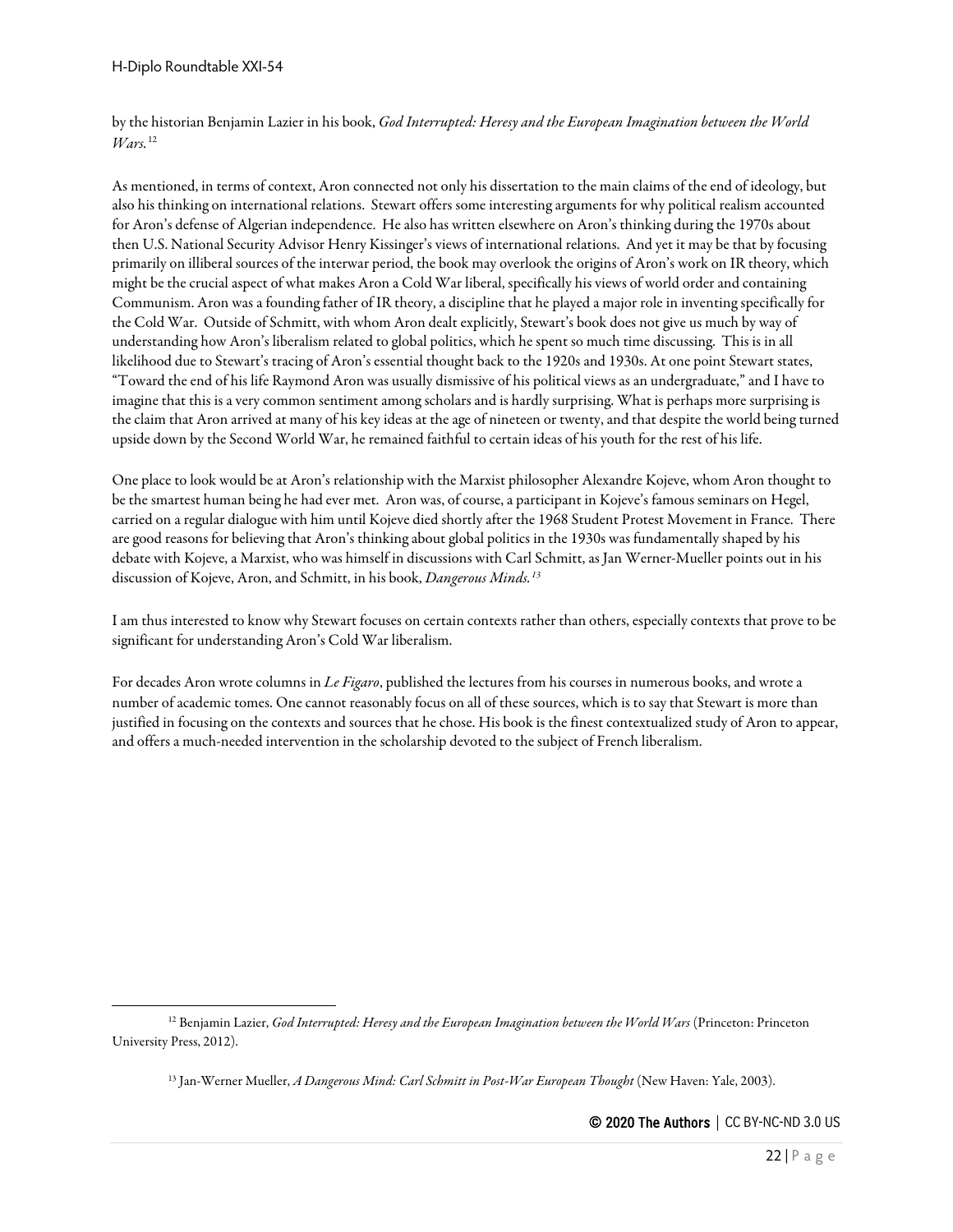by the historian Benjamin Lazier in his book, *God Interrupted: Heresy and the European Imagination between the World Wars.*[12](#page-21-0)

As mentioned, in terms of context, Aron connected not only his dissertation to the main claims of the end of ideology, but also his thinking on international relations. Stewart offers some interesting arguments for why political realism accounted for Aron's defense of Algerian independence. He also has written elsewhere on Aron's thinking during the 1970s about then U.S. National Security Advisor Henry Kissinger's views of international relations. And yet it may be that by focusing primarily on illiberal sources of the interwar period, the book may overlook the origins of Aron's work on IR theory, which might be the crucial aspect of what makes Aron a Cold War liberal, specifically his views of world order and containing Communism. Aron was a founding father of IR theory, a discipline that he played a major role in inventing specifically for the Cold War. Outside of Schmitt, with whom Aron dealt explicitly, Stewart's book does not give us much by way of understanding how Aron's liberalism related to global politics, which he spent so much time discussing. This is in all likelihood due to Stewart's tracing of Aron's essential thought back to the 1920s and 1930s. At one point Stewart states, "Toward the end of his life Raymond Aron was usually dismissive of his political views as an undergraduate," and I have to imagine that this is a very common sentiment among scholars and is hardly surprising. What is perhaps more surprising is the claim that Aron arrived at many of his key ideas at the age of nineteen or twenty, and that despite the world being turned upside down by the Second World War, he remained faithful to certain ideas of his youth for the rest of his life.

One place to look would be at Aron's relationship with the Marxist philosopher Alexandre Kojeve, whom Aron thought to be the smartest human being he had ever met. Aron was, of course, a participant in Kojeve's famous seminars on Hegel, carried on a regular dialogue with him until Kojeve died shortly after the 1968 Student Protest Movement in France. There are good reasons for believing that Aron's thinking about global politics in the 1930s was fundamentally shaped by his debate with Kojeve, a Marxist, who was himself in discussions with Carl Schmitt, as Jan Werner-Mueller points out in his discussion of Kojeve, Aron, and Schmitt, in his book, *Dangerous Minds.[13](#page-21-1)*

I am thus interested to know why Stewart focuses on certain contexts rather than others, especially contexts that prove to be significant for understanding Aron's Cold War liberalism.

For decades Aron wrote columns in *Le Figaro*, published the lectures from his courses in numerous books, and wrote a number of academic tomes. One cannot reasonably focus on all of these sources, which is to say that Stewart is more than justified in focusing on the contexts and sources that he chose. His book is the finest contextualized study of Aron to appear, and offers a much-needed intervention in the scholarship devoted to the subject of French liberalism.

<span id="page-21-1"></span><span id="page-21-0"></span><sup>12</sup> Benjamin Lazier, *God Interrupted: Heresy and the European Imagination between the World Wars* (Princeton: Princeton University Press, 2012).

<sup>13</sup> Jan-Werner Mueller, *A Dangerous Mind: Carl Schmitt in Post-War European Thought* (New Haven: Yale, 2003).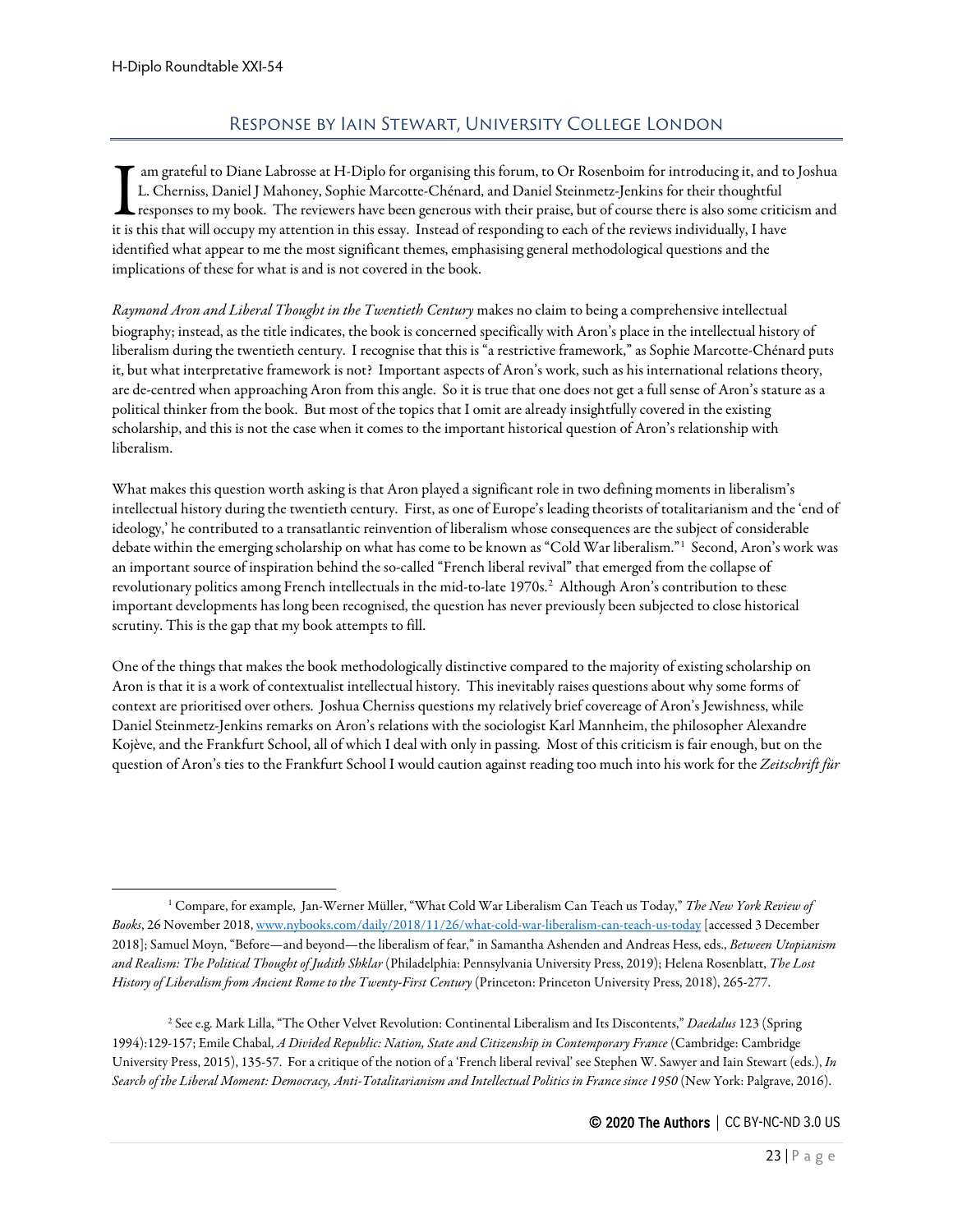# Response by Iain Stewart, University College London

<span id="page-22-0"></span>am grateful to Diane Labrosse at H-Diplo for organising this forum, to Or Rosenboim for introducing it, and to Joshua L. Cherniss, Daniel J Mahoney, Sophie Marcotte-Chénard, and Daniel Steinmetz-Jenkins for their thoughtful responses to my book. The reviewers have been generous with their praise, but of course there is also some criticism and Im grateful to Diane Labrosse at H-Diplo for organising this forum, to Or Rosenboim for introducing it, and the L. Cherniss, Daniel J Mahoney, Sophie Marcotte-Chénard, and Daniel Steinmetz-Jenkins for their thoughtful resp identified what appear to me the most significant themes, emphasising general methodological questions and the implications of these for what is and is not covered in the book.

*Raymond Aron and Liberal Thought in the Twentieth Century* makes no claim to being a comprehensive intellectual biography; instead, as the title indicates, the book is concerned specifically with Aron's place in the intellectual history of liberalism during the twentieth century. I recognise that this is "a restrictive framework," as Sophie Marcotte-Chénard puts it, but what interpretative framework is not? Important aspects of Aron's work, such as his international relations theory, are de-centred when approaching Aron from this angle. So it is true that one does not get a full sense of Aron's stature as a political thinker from the book. But most of the topics that I omit are already insightfully covered in the existing scholarship, and this is not the case when it comes to the important historical question of Aron's relationship with liberalism.

What makes this question worth asking is that Aron played a significant role in two defining moments in liberalism's intellectual history during the twentieth century. First, as one of Europe's leading theorists of totalitarianism and the 'end of ideology,' he contributed to a transatlantic reinvention of liberalism whose consequences are the subject of considerable debate within the emerging scholarship on what has come to be known as "Cold War liberalism."[1](#page-22-1) Second, Aron's work was an important source of inspiration behind the so-called "French liberal revival" that emerged from the collapse of revolutionary politics among French intellectuals in the mid-to-late 1970s.<sup>[2](#page-22-2)</sup> Although Aron's contribution to these important developments has long been recognised, the question has never previously been subjected to close historical scrutiny. This is the gap that my book attempts to fill.

One of the things that makes the book methodologically distinctive compared to the majority of existing scholarship on Aron is that it is a work of contextualist intellectual history. This inevitably raises questions about why some forms of context are prioritised over others. Joshua Cherniss questions my relatively brief covereage of Aron's Jewishness, while Daniel Steinmetz-Jenkins remarks on Aron's relations with the sociologist Karl Mannheim, the philosopher Alexandre Kojève, and the Frankfurt School, all of which I deal with only in passing. Most of this criticism is fair enough, but on the question of Aron's ties to the Frankfurt School I would caution against reading too much into his work for the *Zeitschrift für* 

<span id="page-22-2"></span><sup>2</sup> See e.g. Mark Lilla, "The Other Velvet Revolution: Continental Liberalism and Its Discontents," *Daedalus* 123 (Spring 1994):129-157; Emile Chabal, *A Divided Republic: Nation, State and Citizenship in Contemporary France* (Cambridge: Cambridge University Press, 2015), 135-57. For a critique of the notion of a 'French liberal revival' see Stephen W. Sawyer and Iain Stewart (eds.), *In Search of the Liberal Moment: Democracy, Anti-Totalitarianism and Intellectual Politics in France since 1950* (New York: Palgrave, 2016).

<span id="page-22-1"></span><sup>1</sup> Compare, for example, Jan-Werner Müller, "What Cold War Liberalism Can Teach us Today," *The New York Review of Books*, 26 November 2018[, www.nybooks.com/daily/2018/11/26/what-cold-war-liberalism-can-teach-us-today](http://www.nybooks.com/daily/2018/11/26/what-cold-war-liberalism-can-teach-us-today) [accessed 3 December 2018]; Samuel Moyn, "Before—and beyond—the liberalism of fear," in Samantha Ashenden and Andreas Hess, eds., *Between Utopianism and Realism: The Political Thought of Judith Shklar* (Philadelphia: Pennsylvania University Press, 2019); Helena Rosenblatt, *The Lost History of Liberalism from Ancient Rome to the Twenty-First Century* (Princeton: Princeton University Press, 2018), 265-277.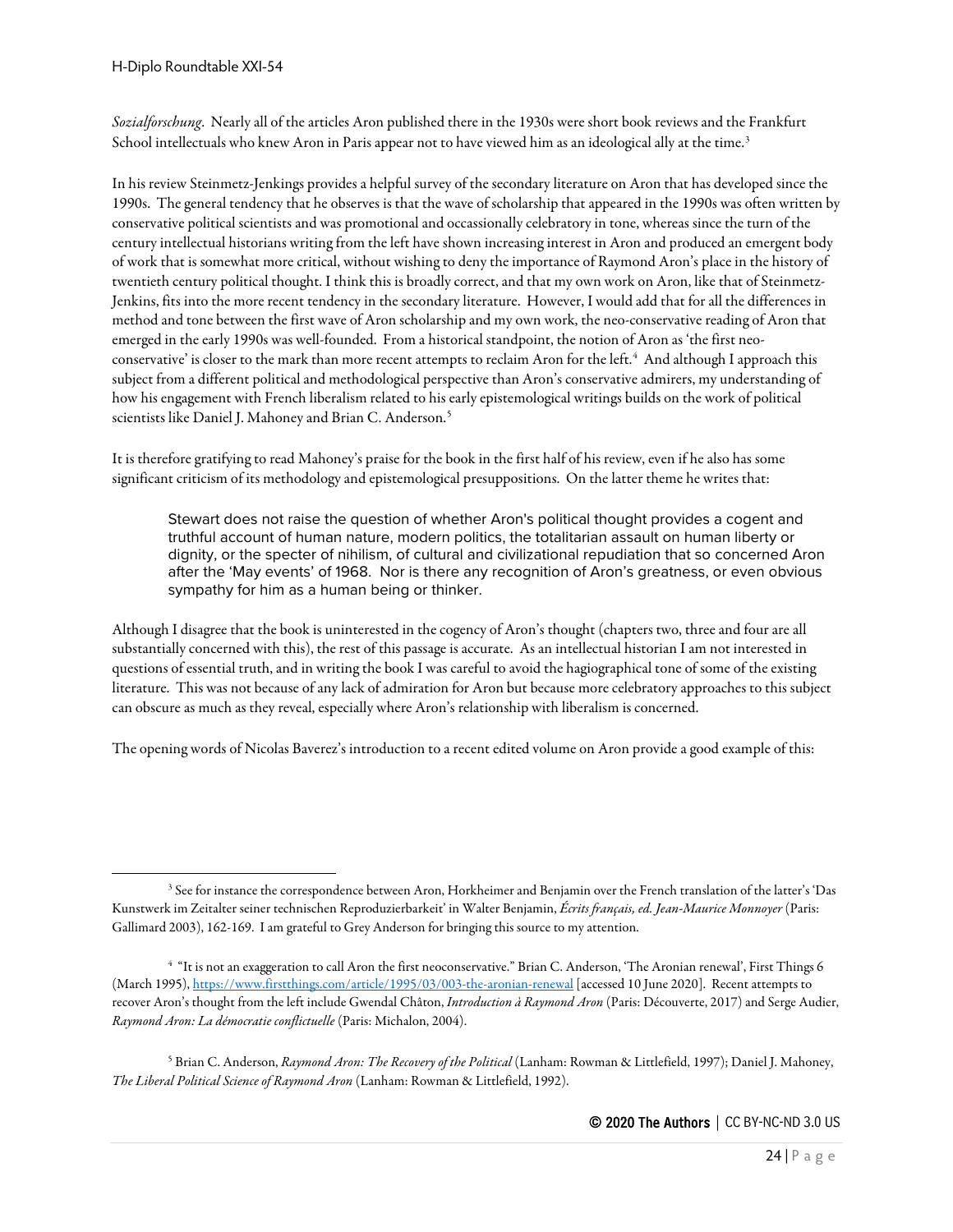H-Diplo Roundtable XXI-54

*Sozialforschung*. Nearly all of the articles Aron published there in the 1930s were short book reviews and the Frankfurt School intellectuals who knew Aron in Paris appear not to have viewed him as an ideological ally at the time.<sup>[3](#page-23-0)</sup>

In his review Steinmetz-Jenkings provides a helpful survey of the secondary literature on Aron that has developed since the 1990s. The general tendency that he observes is that the wave of scholarship that appeared in the 1990s was often written by conservative political scientists and was promotional and occassionally celebratory in tone, whereas since the turn of the century intellectual historians writing from the left have shown increasing interest in Aron and produced an emergent body of work that is somewhat more critical, without wishing to deny the importance of Raymond Aron's place in the history of twentieth century political thought. I think this is broadly correct, and that my own work on Aron, like that of Steinmetz-Jenkins, fits into the more recent tendency in the secondary literature. However, I would add that for all the differences in method and tone between the first wave of Aron scholarship and my own work, the neo-conservative reading of Aron that emerged in the early 1990s was well-founded. From a historical standpoint, the notion of Aron as 'the first neoconservative' is closer to the mark than more recent attempts to reclaim Aron for the left.[4](#page-23-1) And although I approach this subject from a different political and methodological perspective than Aron's conservative admirers, my understanding of how his engagement with French liberalism related to his early epistemological writings builds on the work of political scientists like Daniel J. Mahoney and Brian C. Anderson.<sup>[5](#page-23-2)</sup>

It is therefore gratifying to read Mahoney's praise for the book in the first half of his review, even if he also has some significant criticism of its methodology and epistemological presuppositions. On the latter theme he writes that:

Stewart does not raise the question of whether Aron's political thought provides a cogent and truthful account of human nature, modern politics, the totalitarian assault on human liberty or dignity, or the specter of nihilism, of cultural and civilizational repudiation that so concerned Aron after the 'May events' of 1968. Nor is there any recognition of Aron's greatness, or even obvious sympathy for him as a human being or thinker.

Although I disagree that the book is uninterested in the cogency of Aron's thought (chapters two, three and four are all substantially concerned with this), the rest of this passage is accurate. As an intellectual historian I am not interested in questions of essential truth, and in writing the book I was careful to avoid the hagiographical tone of some of the existing literature. This was not because of any lack of admiration for Aron but because more celebratory approaches to this subject can obscure as much as they reveal, especially where Aron's relationship with liberalism is concerned.

The opening words of Nicolas Baverez's introduction to a recent edited volume on Aron provide a good example of this:

<span id="page-23-0"></span><sup>&</sup>lt;sup>3</sup> See for instance the correspondence between Aron, Horkheimer and Benjamin over the French translation of the latter's 'Das Kunstwerk im Zeitalter seiner technischen Reproduzierbarkeit' in Walter Benjamin, *Écrits français, ed. Jean-Maurice Monnoyer* (Paris: Gallimard 2003), 162-169. I am grateful to Grey Anderson for bringing this source to my attention.

<span id="page-23-1"></span><sup>4</sup> "It is not an exaggeration to call Aron the first neoconservative." Brian C. Anderson, 'The Aronian renewal', First Things 6 (March 1995), <https://www.firstthings.com/article/1995/03/003-the-aronian-renewal> [accessed 10 June 2020]. Recent attempts to recover Aron's thought from the left include Gwendal Châton, *Introduction à Raymond Aron* (Paris: Découverte, 2017) and Serge Audier, *Raymond Aron: La démocratie conflictuelle* (Paris: Michalon, 2004).

<span id="page-23-2"></span><sup>5</sup> Brian C. Anderson, *Raymond Aron: The Recovery of the Political* (Lanham: Rowman & Littlefield, 1997); Daniel J. Mahoney, *The Liberal Political Science of Raymond Aron* (Lanham: Rowman & Littlefield, 1992).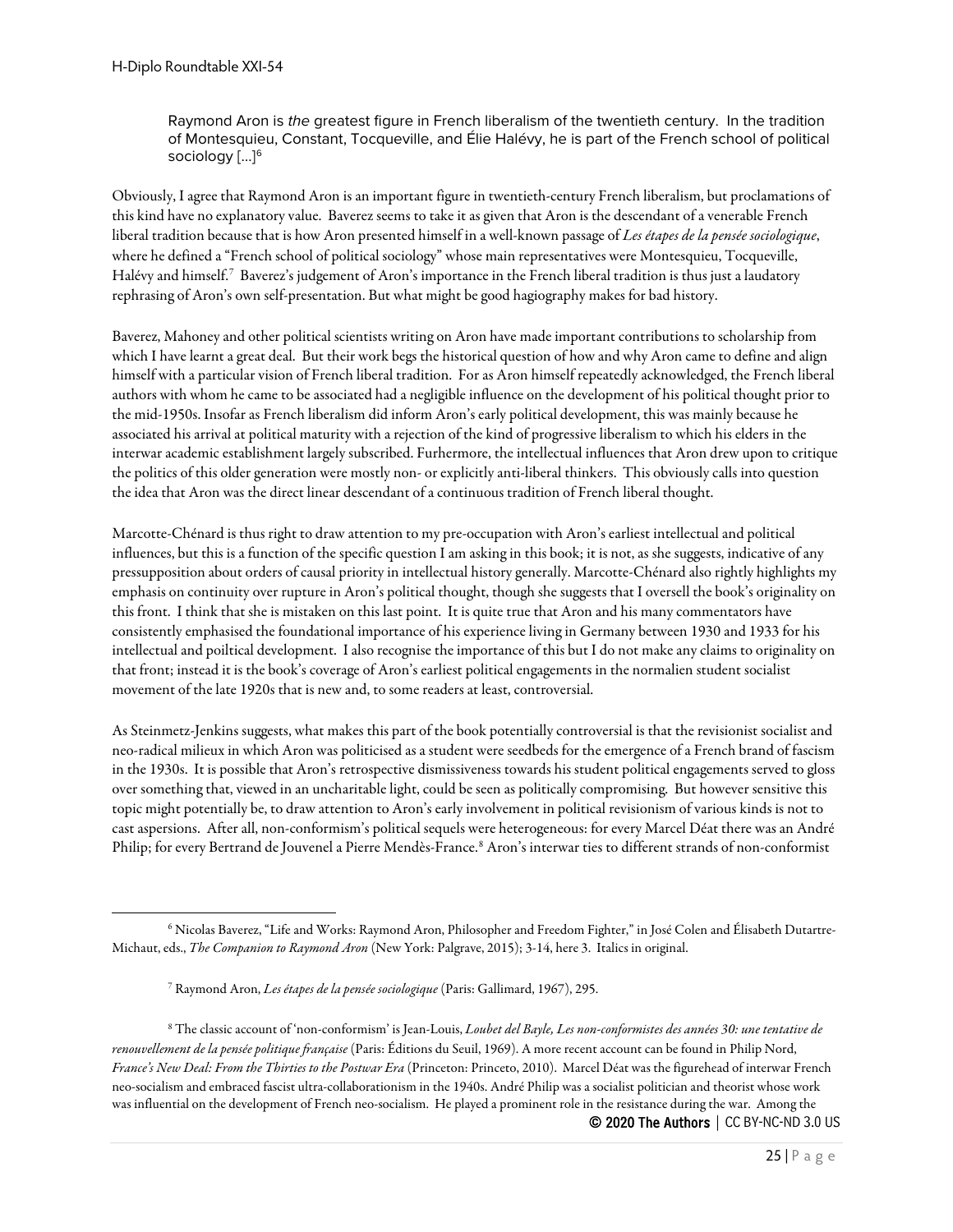Raymond Aron is *the* greatest figure in French liberalism of the twentieth century. In the tradition of Montesquieu, Constant, Tocqueville, and Élie Halévy, he is part of the French school of political sociology [...]<sup>[6](#page-24-0)</sup>

Obviously, I agree that Raymond Aron is an important figure in twentieth-century French liberalism, but proclamations of this kind have no explanatory value. Baverez seems to take it as given that Aron is the descendant of a venerable French liberal tradition because that is how Aron presented himself in a well-known passage of *Les étapes de la pensée sociologique*, where he defined a "French school of political sociology" whose main representatives were Montesquieu, Tocqueville, Halévy and himself.[7](#page-24-1) Baverez's judgement of Aron's importance in the French liberal tradition is thus just a laudatory rephrasing of Aron's own self-presentation. But what might be good hagiography makes for bad history.

Baverez, Mahoney and other political scientists writing on Aron have made important contributions to scholarship from which I have learnt a great deal. But their work begs the historical question of how and why Aron came to define and align himself with a particular vision of French liberal tradition. For as Aron himself repeatedly acknowledged, the French liberal authors with whom he came to be associated had a negligible influence on the development of his political thought prior to the mid-1950s. Insofar as French liberalism did inform Aron's early political development, this was mainly because he associated his arrival at political maturity with a rejection of the kind of progressive liberalism to which his elders in the interwar academic establishment largely subscribed. Furhermore, the intellectual influences that Aron drew upon to critique the politics of this older generation were mostly non- or explicitly anti-liberal thinkers. This obviously calls into question the idea that Aron was the direct linear descendant of a continuous tradition of French liberal thought.

Marcotte-Chénard is thus right to draw attention to my pre-occupation with Aron's earliest intellectual and political influences, but this is a function of the specific question I am asking in this book; it is not, as she suggests, indicative of any pressupposition about orders of causal priority in intellectual history generally. Marcotte-Chénard also rightly highlights my emphasis on continuity over rupture in Aron's political thought, though she suggests that I oversell the book's originality on this front. I think that she is mistaken on this last point. It is quite true that Aron and his many commentators have consistently emphasised the foundational importance of his experience living in Germany between 1930 and 1933 for his intellectual and poiltical development. I also recognise the importance of this but I do not make any claims to originality on that front; instead it is the book's coverage of Aron's earliest political engagements in the normalien student socialist movement of the late 1920s that is new and, to some readers at least, controversial.

As Steinmetz-Jenkins suggests, what makes this part of the book potentially controversial is that the revisionist socialist and neo-radical milieux in which Aron was politicised as a student were seedbeds for the emergence of a French brand of fascism in the 1930s. It is possible that Aron's retrospective dismissiveness towards his student political engagements served to gloss over something that, viewed in an uncharitable light, could be seen as politically compromising. But however sensitive this topic might potentially be, to draw attention to Aron's early involvement in political revisionism of various kinds is not to cast aspersions. After all, non-conformism's political sequels were heterogeneous: for every Marcel Déat there was an André Philip; for every Bertrand de Jouvenel a Pierre Mendès-France.<sup>[8](#page-24-2)</sup> Aron's interwar ties to different strands of non-conformist

<span id="page-24-2"></span><span id="page-24-1"></span>© 2020 The Authors | CC BY-NC-ND 3.0 US <sup>8</sup> The classic account of 'non-conformism' is Jean-Louis, *Loubet del Bayle, Les non-conformistes des années 30: une tentative de renouvellement de la pensée politique française* (Paris: Éditions du Seuil, 1969). A more recent account can be found in Philip Nord, *France's New Deal: From the Thirties to the Postwar Era* (Princeton: Princeto, 2010). Marcel Déat was the figurehead of interwar French neo-socialism and embraced fascist ultra-collaborationism in the 1940s. André Philip was a socialist politician and theorist whose work was influential on the development of French neo-socialism. He played a prominent role in the resistance during the war. Among the

<span id="page-24-0"></span><sup>6</sup> Nicolas Baverez, "Life and Works: Raymond Aron, Philosopher and Freedom Fighter," in José Colen and Élisabeth Dutartre-Michaut, eds., *The Companion to Raymond Aron* (New York: Palgrave, 2015); 3-14, here 3. Italics in original.

<sup>7</sup> Raymond Aron, *Les étapes de la pensée sociologique* (Paris: Gallimard, 1967), 295.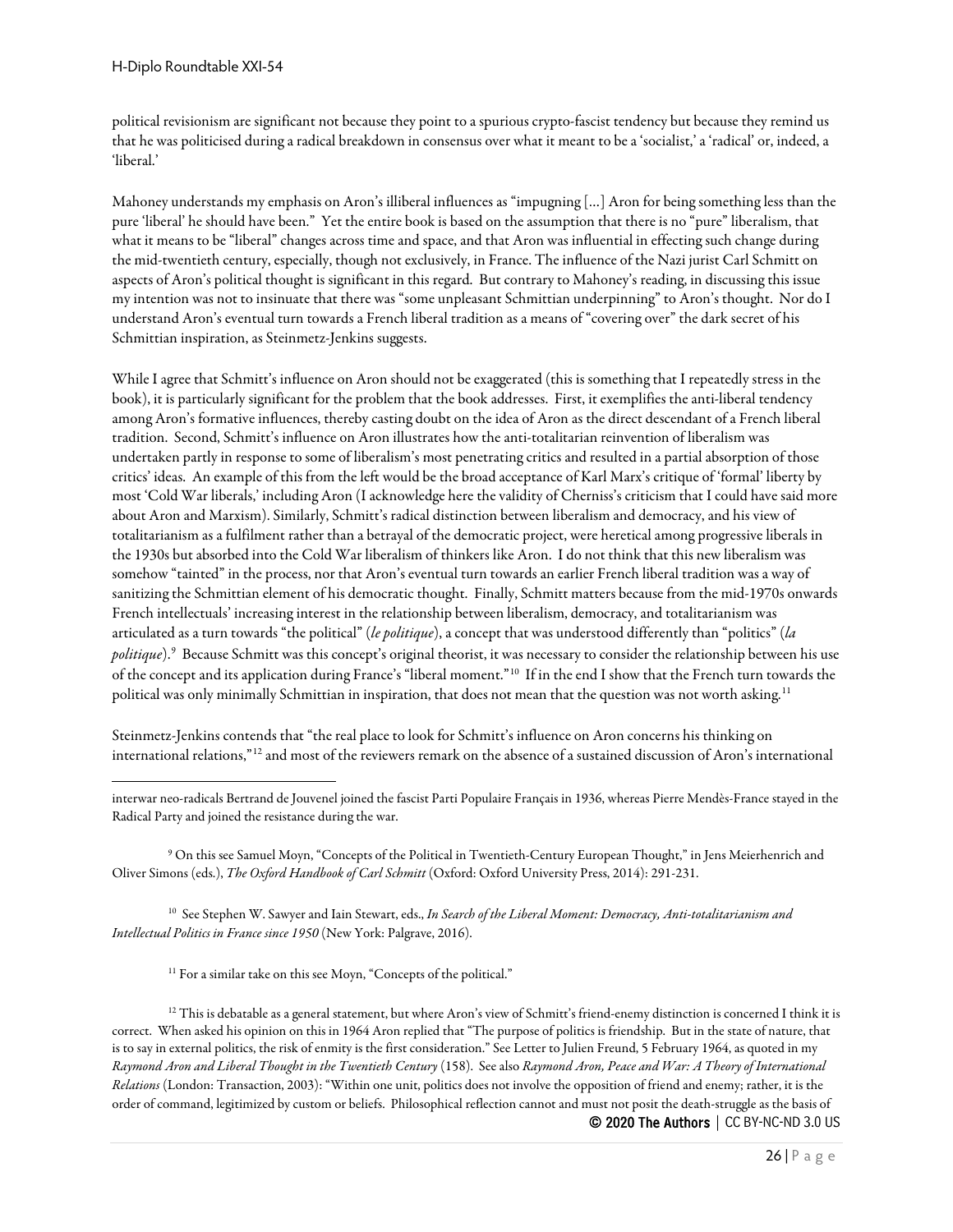political revisionism are significant not because they point to a spurious crypto-fascist tendency but because they remind us that he was politicised during a radical breakdown in consensus over what it meant to be a 'socialist,' a 'radical' or, indeed, a 'liberal.'

Mahoney understands my emphasis on Aron's illiberal influences as "impugning […] Aron for being something less than the pure 'liberal' he should have been." Yet the entire book is based on the assumption that there is no "pure" liberalism, that what it means to be "liberal" changes across time and space, and that Aron was influential in effecting such change during the mid-twentieth century, especially, though not exclusively, in France. The influence of the Nazi jurist Carl Schmitt on aspects of Aron's political thought is significant in this regard. But contrary to Mahoney's reading, in discussing this issue my intention was not to insinuate that there was "some unpleasant Schmittian underpinning" to Aron's thought. Nor do I understand Aron's eventual turn towards a French liberal tradition as a means of "covering over" the dark secret of his Schmittian inspiration, as Steinmetz-Jenkins suggests.

While I agree that Schmitt's influence on Aron should not be exaggerated (this is something that I repeatedly stress in the book), it is particularly significant for the problem that the book addresses. First, it exemplifies the anti-liberal tendency among Aron's formative influences, thereby casting doubt on the idea of Aron as the direct descendant of a French liberal tradition. Second, Schmitt's influence on Aron illustrates how the anti-totalitarian reinvention of liberalism was undertaken partly in response to some of liberalism's most penetrating critics and resulted in a partial absorption of those critics' ideas. An example of this from the left would be the broad acceptance of Karl Marx's critique of 'formal' liberty by most 'Cold War liberals,' including Aron (I acknowledge here the validity of Cherniss's criticism that I could have said more about Aron and Marxism). Similarly, Schmitt's radical distinction between liberalism and democracy, and his view of totalitarianism as a fulfilment rather than a betrayal of the democratic project, were heretical among progressive liberals in the 1930s but absorbed into the Cold War liberalism of thinkers like Aron. I do not think that this new liberalism was somehow "tainted" in the process, nor that Aron's eventual turn towards an earlier French liberal tradition was a way of sanitizing the Schmittian element of his democratic thought. Finally, Schmitt matters because from the mid-1970s onwards French intellectuals' increasing interest in the relationship between liberalism, democracy, and totalitarianism was articulated as a turn towards "the political" (*le politique*), a concept that was understood differently than "politics" (*la politique*).[9](#page-25-0) Because Schmitt was this concept's original theorist, it was necessary to consider the relationship between his use of the concept and its application during France's "liberal moment."[10](#page-25-1) If in the end I show that the French turn towards the political was only minimally Schmittian in inspiration, that does not mean that the question was not worth asking.<sup>11</sup>

Steinmetz-Jenkins contends that "the real place to look for Schmitt's influence on Aron concerns his thinking on international relations,"[12](#page-25-3) and most of the reviewers remark on the absence of a sustained discussion of Aron's international

<span id="page-25-0"></span><sup>9</sup> On this see Samuel Moyn, "Concepts of the Political in Twentieth-Century European Thought," in Jens Meierhenrich and Oliver Simons (eds.), *The Oxford Handbook of Carl Schmitt* (Oxford: Oxford University Press, 2014): 291-231.

<span id="page-25-1"></span><sup>10</sup> See Stephen W. Sawyer and Iain Stewart, eds., *In Search of the Liberal Moment: Democracy, Anti-totalitarianism and Intellectual Politics in France since 1950* (New York: Palgrave, 2016).

<sup>11</sup> For a similar take on this see Moyn, "Concepts of the political."

<span id="page-25-3"></span><span id="page-25-2"></span>© 2020 The Authors | CC BY-NC-ND 3.0 US  $^{12}$  This is debatable as a general statement, but where Aron's view of Schmitt's friend-enemy distinction is concerned I think it is correct. When asked his opinion on this in 1964 Aron replied that "The purpose of politics is friendship. But in the state of nature, that is to say in external politics, the risk of enmity is the first consideration." See Letter to Julien Freund, 5 February 1964, as quoted in my *Raymond Aron and Liberal Thought in the Twentieth Century* (158). See also *Raymond Aron, Peace and War: A Theory of International Relations* (London: Transaction, 2003): "Within one unit, politics does not involve the opposition of friend and enemy; rather, it is the order of command, legitimized by custom or beliefs. Philosophical reflection cannot and must not posit the death-struggle as the basis of

interwar neo-radicals Bertrand de Jouvenel joined the fascist Parti Populaire Français in 1936, whereas Pierre Mendès-France stayed in the Radical Party and joined the resistance during the war.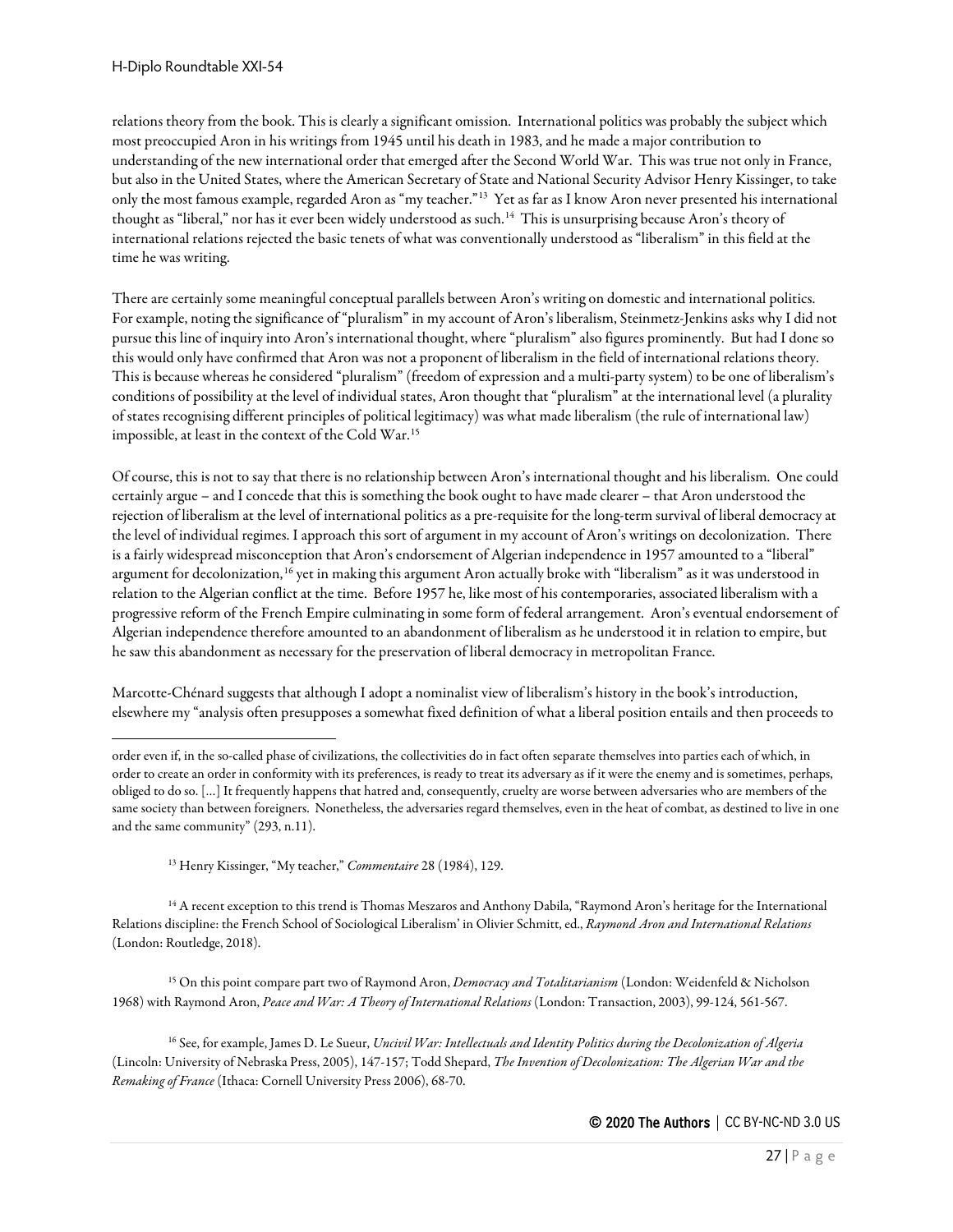relations theory from the book. This is clearly a significant omission. International politics was probably the subject which most preoccupied Aron in his writings from 1945 until his death in 1983, and he made a major contribution to understanding of the new international order that emerged after the Second World War. This was true not only in France, but also in the United States, where the American Secretary of State and National Security Advisor Henry Kissinger, to take only the most famous example, regarded Aron as "my teacher."[13](#page-26-0) Yet as far as I know Aron never presented his international thought as "liberal," nor has it ever been widely understood as such.<sup>[14](#page-26-1)</sup> This is unsurprising because Aron's theory of international relations rejected the basic tenets of what was conventionally understood as "liberalism" in this field at the time he was writing.

There are certainly some meaningful conceptual parallels between Aron's writing on domestic and international politics. For example, noting the significance of "pluralism" in my account of Aron's liberalism, Steinmetz-Jenkins asks why I did not pursue this line of inquiry into Aron's international thought, where "pluralism" also figures prominently. But had I done so this would only have confirmed that Aron was not a proponent of liberalism in the field of international relations theory. This is because whereas he considered "pluralism" (freedom of expression and a multi-party system) to be one of liberalism's conditions of possibility at the level of individual states, Aron thought that "pluralism" at the international level (a plurality of states recognising different principles of political legitimacy) was what made liberalism (the rule of international law) impossible, at least in the context of the Cold War.[15](#page-26-2)

Of course, this is not to say that there is no relationship between Aron's international thought and his liberalism. One could certainly argue – and I concede that this is something the book ought to have made clearer – that Aron understood the rejection of liberalism at the level of international politics as a pre-requisite for the long-term survival of liberal democracy at the level of individual regimes. I approach this sort of argument in my account of Aron's writings on decolonization. There is a fairly widespread misconception that Aron's endorsement of Algerian independence in 1957 amounted to a "liberal" argument for decolonization,<sup>[16](#page-26-3)</sup> yet in making this argument Aron actually broke with "liberalism" as it was understood in relation to the Algerian conflict at the time. Before 1957 he, like most of his contemporaries, associated liberalism with a progressive reform of the French Empire culminating in some form of federal arrangement. Aron's eventual endorsement of Algerian independence therefore amounted to an abandonment of liberalism as he understood it in relation to empire, but he saw this abandonment as necessary for the preservation of liberal democracy in metropolitan France.

Marcotte-Chénard suggests that although I adopt a nominalist view of liberalism's history in the book's introduction, elsewhere my "analysis often presupposes a somewhat fixed definition of what a liberal position entails and then proceeds to

<sup>13</sup> Henry Kissinger, "My teacher," *Commentaire* 28 (1984), 129.

<span id="page-26-1"></span><span id="page-26-0"></span><sup>14</sup> A recent exception to this trend is Thomas Meszaros and Anthony Dabila, "Raymond Aron's heritage for the International Relations discipline: the French School of Sociological Liberalism' in Olivier Schmitt, ed., *Raymond Aron and International Relations* (London: Routledge, 2018).

<span id="page-26-2"></span><sup>15</sup> On this point compare part two of Raymond Aron, *Democracy and Totalitarianism* (London: Weidenfeld & Nicholson 1968) with Raymond Aron, *Peace and War: A Theory of International Relations* (London: Transaction, 2003), 99-124, 561-567.

<span id="page-26-3"></span><sup>16</sup> See, for example, James D. Le Sueur, *Uncivil War: Intellectuals and Identity Politics during the Decolonization of Algeria*  (Lincoln: University of Nebraska Press, 2005), 147-157; Todd Shepard, *The Invention of Decolonization: The Algerian War and the Remaking of France* (Ithaca: Cornell University Press 2006), 68-70.

order even if, in the so-called phase of civilizations, the collectivities do in fact often separate themselves into parties each of which, in order to create an order in conformity with its preferences, is ready to treat its adversary as if it were the enemy and is sometimes, perhaps, obliged to do so. […] It frequently happens that hatred and, consequently, cruelty are worse between adversaries who are members of the same society than between foreigners. Nonetheless, the adversaries regard themselves, even in the heat of combat, as destined to live in one and the same community" (293, n.11).